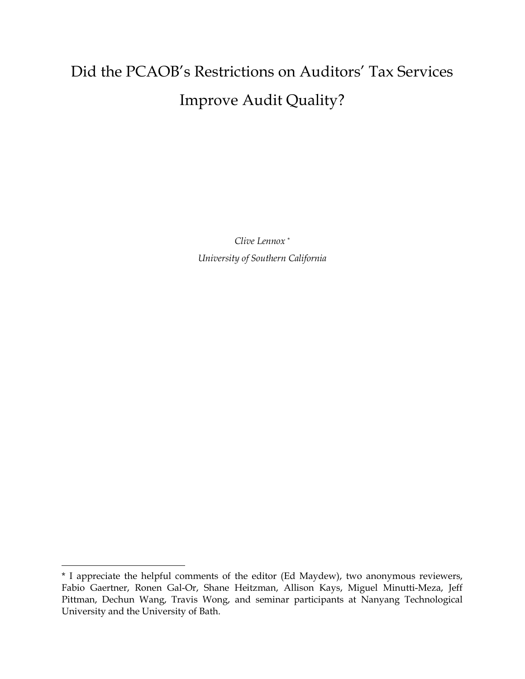# Did the PCAOB's Restrictions on Auditors' Tax Services Improve Audit Quality?

Clive Lennox \* University of Southern California

 $\overline{a}$ 

<sup>\*</sup> I appreciate the helpful comments of the editor (Ed Maydew), two anonymous reviewers, Fabio Gaertner, Ronen Gal-Or, Shane Heitzman, Allison Kays, Miguel Minutti-Meza, Jeff Pittman, Dechun Wang, Travis Wong, and seminar participants at Nanyang Technological University and the University of Bath.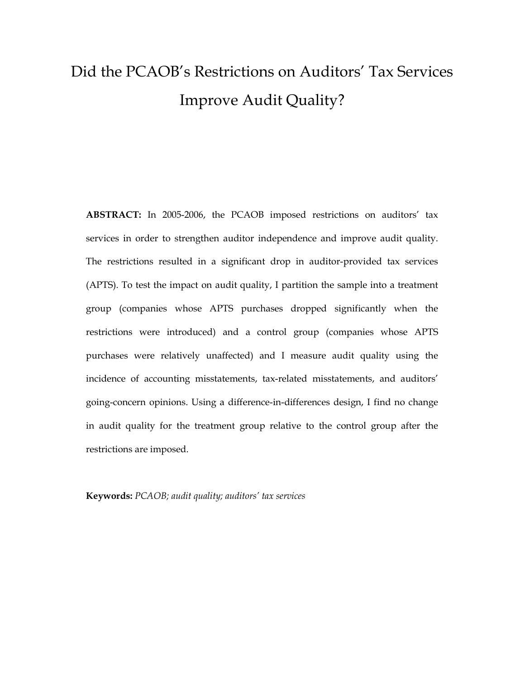# Did the PCAOB's Restrictions on Auditors' Tax Services Improve Audit Quality?

ABSTRACT: In 2005-2006, the PCAOB imposed restrictions on auditors' tax services in order to strengthen auditor independence and improve audit quality. The restrictions resulted in a significant drop in auditor-provided tax services (APTS). To test the impact on audit quality, I partition the sample into a treatment group (companies whose APTS purchases dropped significantly when the restrictions were introduced) and a control group (companies whose APTS purchases were relatively unaffected) and I measure audit quality using the incidence of accounting misstatements, tax-related misstatements, and auditors' going-concern opinions. Using a difference-in-differences design, I find no change in audit quality for the treatment group relative to the control group after the restrictions are imposed.

Keywords: PCAOB; audit quality; auditors' tax services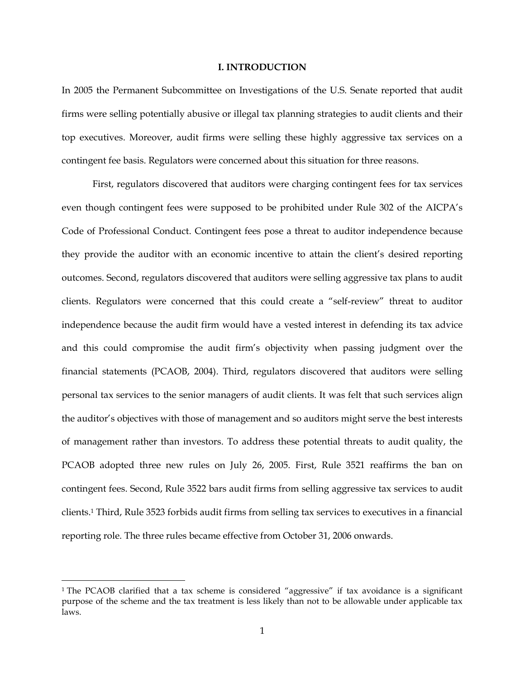#### I. INTRODUCTION

In 2005 the Permanent Subcommittee on Investigations of the U.S. Senate reported that audit firms were selling potentially abusive or illegal tax planning strategies to audit clients and their top executives. Moreover, audit firms were selling these highly aggressive tax services on a contingent fee basis. Regulators were concerned about this situation for three reasons.

First, regulators discovered that auditors were charging contingent fees for tax services even though contingent fees were supposed to be prohibited under Rule 302 of the AICPA's Code of Professional Conduct. Contingent fees pose a threat to auditor independence because they provide the auditor with an economic incentive to attain the client's desired reporting outcomes. Second, regulators discovered that auditors were selling aggressive tax plans to audit clients. Regulators were concerned that this could create a "self-review" threat to auditor independence because the audit firm would have a vested interest in defending its tax advice and this could compromise the audit firm's objectivity when passing judgment over the financial statements (PCAOB, 2004). Third, regulators discovered that auditors were selling personal tax services to the senior managers of audit clients. It was felt that such services align the auditor's objectives with those of management and so auditors might serve the best interests of management rather than investors. To address these potential threats to audit quality, the PCAOB adopted three new rules on July 26, 2005. First, Rule 3521 reaffirms the ban on contingent fees. Second, Rule 3522 bars audit firms from selling aggressive tax services to audit clients.1 Third, Rule 3523 forbids audit firms from selling tax services to executives in a financial reporting role. The three rules became effective from October 31, 2006 onwards.

<sup>1</sup> The PCAOB clarified that a tax scheme is considered "aggressive" if tax avoidance is a significant purpose of the scheme and the tax treatment is less likely than not to be allowable under applicable tax laws.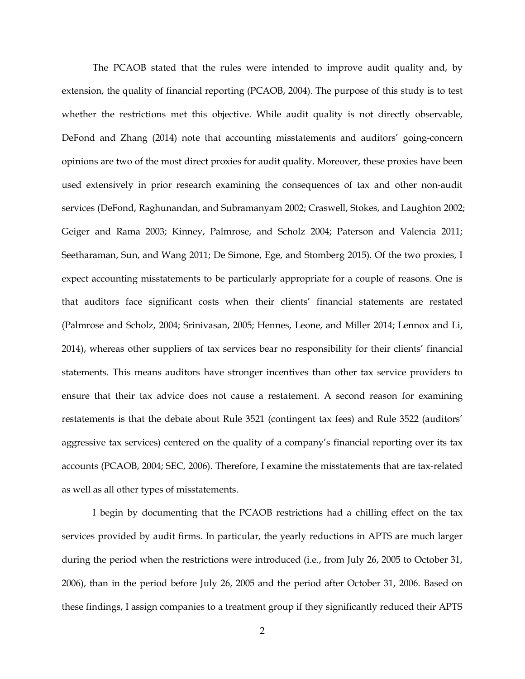The PCAOB stated that the rules were intended to improve audit quality and, by extension, the quality of financial reporting (PCAOB, 2004). The purpose of this study is to test whether the restrictions met this objective. While audit quality is not directly observable, DeFond and Zhang (2014) note that accounting misstatements and auditors' going-concern opinions are two of the most direct proxies for audit quality. Moreover, these proxies have been used extensively in prior research examining the consequences of tax and other non-audit services (DeFond, Raghunandan, and Subramanyam 2002; Craswell, Stokes, and Laughton 2002; Geiger and Rama 2003; Kinney, Palmrose, and Scholz 2004; Paterson and Valencia 2011; Seetharaman, Sun, and Wang 2011; De Simone, Ege, and Stomberg 2015). Of the two proxies, I expect accounting misstatements to be particularly appropriate for a couple of reasons. One is that auditors face significant costs when their clients' financial statements are restated (Palmrose and Scholz, 2004; Srinivasan, 2005; Hennes, Leone, and Miller 2014; Lennox and Li, 2014), whereas other suppliers of tax services bear no responsibility for their clients' financial statements. This means auditors have stronger incentives than other tax service providers to ensure that their tax advice does not cause a restatement. A second reason for examining restatements is that the debate about Rule 3521 (contingent tax fees) and Rule 3522 (auditors' aggressive tax services) centered on the quality of a company's financial reporting over its tax accounts (PCAOB, 2004; SEC, 2006). Therefore, I examine the misstatements that are tax-related as well as all other types of misstatements.

I begin by documenting that the PCAOB restrictions had a chilling effect on the tax services provided by audit firms. In particular, the yearly reductions in APTS are much larger during the period when the restrictions were introduced (i.e., from July 26, 2005 to October 31, 2006), than in the period before July 26, 2005 and the period after October 31, 2006. Based on these findings, I assign companies to a treatment group if they significantly reduced their APTS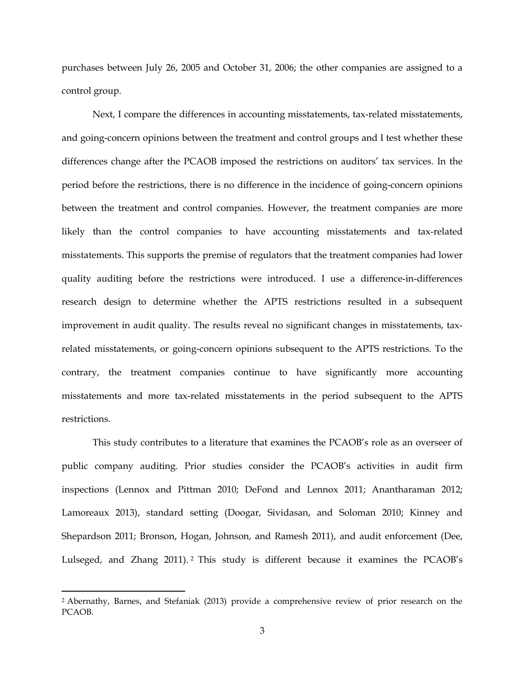purchases between July 26, 2005 and October 31, 2006; the other companies are assigned to a control group.

Next, I compare the differences in accounting misstatements, tax-related misstatements, and going-concern opinions between the treatment and control groups and I test whether these differences change after the PCAOB imposed the restrictions on auditors' tax services. In the period before the restrictions, there is no difference in the incidence of going-concern opinions between the treatment and control companies. However, the treatment companies are more likely than the control companies to have accounting misstatements and tax-related misstatements. This supports the premise of regulators that the treatment companies had lower quality auditing before the restrictions were introduced. I use a difference-in-differences research design to determine whether the APTS restrictions resulted in a subsequent improvement in audit quality. The results reveal no significant changes in misstatements, taxrelated misstatements, or going-concern opinions subsequent to the APTS restrictions. To the contrary, the treatment companies continue to have significantly more accounting misstatements and more tax-related misstatements in the period subsequent to the APTS restrictions.

This study contributes to a literature that examines the PCAOB's role as an overseer of public company auditing. Prior studies consider the PCAOB's activities in audit firm inspections (Lennox and Pittman 2010; DeFond and Lennox 2011; Anantharaman 2012; Lamoreaux 2013), standard setting (Doogar, Sividasan, and Soloman 2010; Kinney and Shepardson 2011; Bronson, Hogan, Johnson, and Ramesh 2011), and audit enforcement (Dee, Lulseged, and Zhang 2011).<sup>2</sup> This study is different because it examines the PCAOB's

<sup>2</sup> Abernathy, Barnes, and Stefaniak (2013) provide a comprehensive review of prior research on the PCAOB.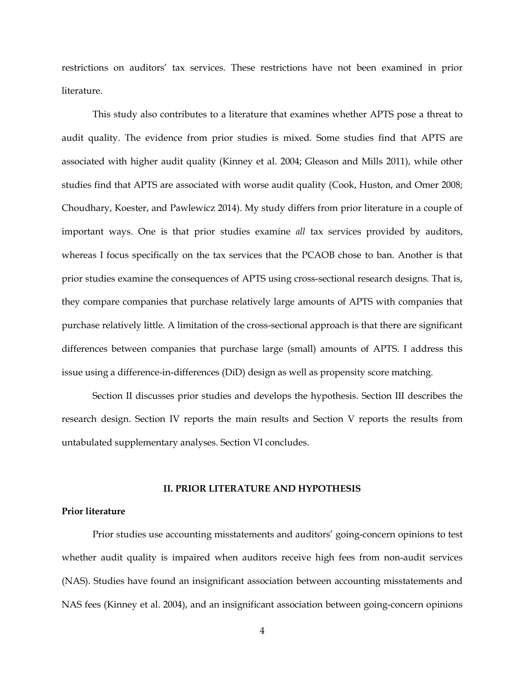restrictions on auditors' tax services. These restrictions have not been examined in prior literature.

This study also contributes to a literature that examines whether APTS pose a threat to audit quality. The evidence from prior studies is mixed. Some studies find that APTS are associated with higher audit quality (Kinney et al. 2004; Gleason and Mills 2011), while other studies find that APTS are associated with worse audit quality (Cook, Huston, and Omer 2008; Choudhary, Koester, and Pawlewicz 2014). My study differs from prior literature in a couple of important ways. One is that prior studies examine all tax services provided by auditors, whereas I focus specifically on the tax services that the PCAOB chose to ban. Another is that prior studies examine the consequences of APTS using cross-sectional research designs. That is, they compare companies that purchase relatively large amounts of APTS with companies that purchase relatively little. A limitation of the cross-sectional approach is that there are significant differences between companies that purchase large (small) amounts of APTS. I address this issue using a difference-in-differences (DiD) design as well as propensity score matching.

 Section II discusses prior studies and develops the hypothesis. Section III describes the research design. Section IV reports the main results and Section V reports the results from untabulated supplementary analyses. Section VI concludes.

#### II. PRIOR LITERATURE AND HYPOTHESIS

### Prior literature

Prior studies use accounting misstatements and auditors' going-concern opinions to test whether audit quality is impaired when auditors receive high fees from non-audit services (NAS). Studies have found an insignificant association between accounting misstatements and NAS fees (Kinney et al. 2004), and an insignificant association between going-concern opinions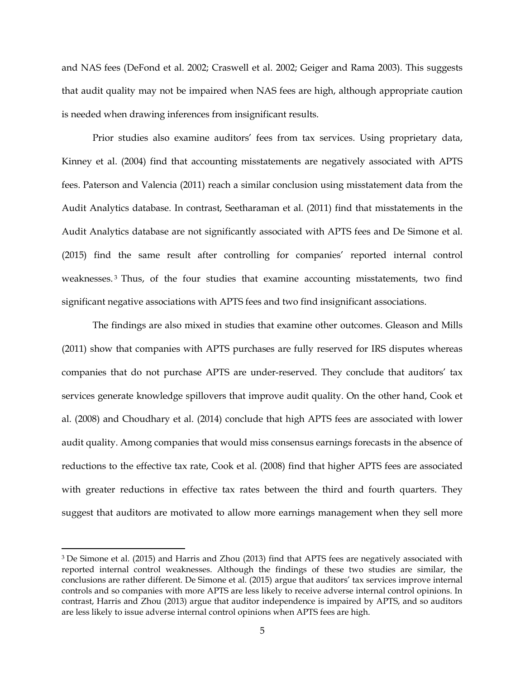and NAS fees (DeFond et al. 2002; Craswell et al. 2002; Geiger and Rama 2003). This suggests that audit quality may not be impaired when NAS fees are high, although appropriate caution is needed when drawing inferences from insignificant results.

Prior studies also examine auditors' fees from tax services. Using proprietary data, Kinney et al. (2004) find that accounting misstatements are negatively associated with APTS fees. Paterson and Valencia (2011) reach a similar conclusion using misstatement data from the Audit Analytics database. In contrast, Seetharaman et al. (2011) find that misstatements in the Audit Analytics database are not significantly associated with APTS fees and De Simone et al. (2015) find the same result after controlling for companies' reported internal control weaknesses.<sup>3</sup> Thus, of the four studies that examine accounting misstatements, two find significant negative associations with APTS fees and two find insignificant associations.

The findings are also mixed in studies that examine other outcomes. Gleason and Mills (2011) show that companies with APTS purchases are fully reserved for IRS disputes whereas companies that do not purchase APTS are under-reserved. They conclude that auditors' tax services generate knowledge spillovers that improve audit quality. On the other hand, Cook et al. (2008) and Choudhary et al. (2014) conclude that high APTS fees are associated with lower audit quality. Among companies that would miss consensus earnings forecasts in the absence of reductions to the effective tax rate, Cook et al. (2008) find that higher APTS fees are associated with greater reductions in effective tax rates between the third and fourth quarters. They suggest that auditors are motivated to allow more earnings management when they sell more

<sup>3</sup> De Simone et al. (2015) and Harris and Zhou (2013) find that APTS fees are negatively associated with reported internal control weaknesses. Although the findings of these two studies are similar, the conclusions are rather different. De Simone et al. (2015) argue that auditors' tax services improve internal controls and so companies with more APTS are less likely to receive adverse internal control opinions. In contrast, Harris and Zhou (2013) argue that auditor independence is impaired by APTS, and so auditors are less likely to issue adverse internal control opinions when APTS fees are high.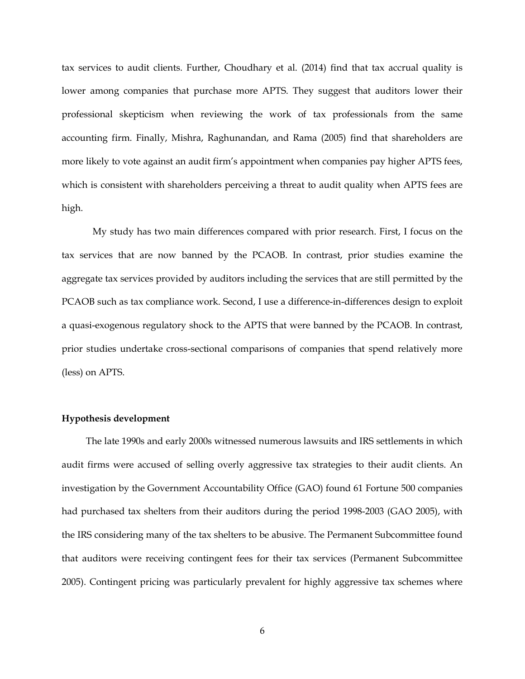tax services to audit clients. Further, Choudhary et al. (2014) find that tax accrual quality is lower among companies that purchase more APTS. They suggest that auditors lower their professional skepticism when reviewing the work of tax professionals from the same accounting firm. Finally, Mishra, Raghunandan, and Rama (2005) find that shareholders are more likely to vote against an audit firm's appointment when companies pay higher APTS fees, which is consistent with shareholders perceiving a threat to audit quality when APTS fees are high.

My study has two main differences compared with prior research. First, I focus on the tax services that are now banned by the PCAOB. In contrast, prior studies examine the aggregate tax services provided by auditors including the services that are still permitted by the PCAOB such as tax compliance work. Second, I use a difference-in-differences design to exploit a quasi-exogenous regulatory shock to the APTS that were banned by the PCAOB. In contrast, prior studies undertake cross-sectional comparisons of companies that spend relatively more (less) on APTS.

#### Hypothesis development

The late 1990s and early 2000s witnessed numerous lawsuits and IRS settlements in which audit firms were accused of selling overly aggressive tax strategies to their audit clients. An investigation by the Government Accountability Office (GAO) found 61 Fortune 500 companies had purchased tax shelters from their auditors during the period 1998-2003 (GAO 2005), with the IRS considering many of the tax shelters to be abusive. The Permanent Subcommittee found that auditors were receiving contingent fees for their tax services (Permanent Subcommittee 2005). Contingent pricing was particularly prevalent for highly aggressive tax schemes where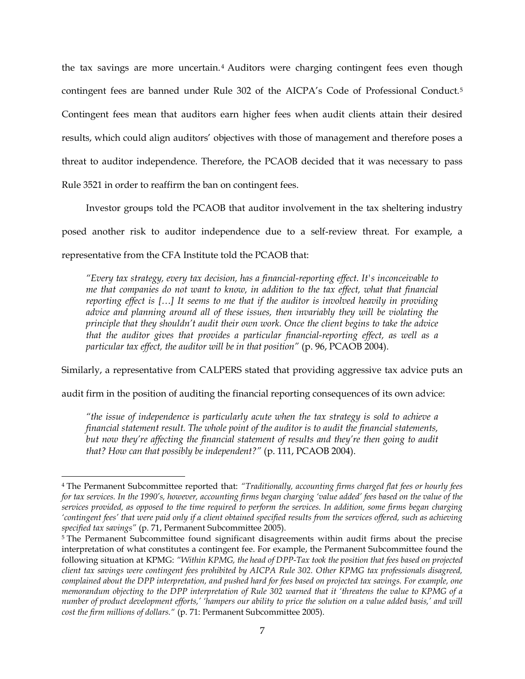the tax savings are more uncertain. <sup>4</sup> Auditors were charging contingent fees even though contingent fees are banned under Rule 302 of the AICPA's Code of Professional Conduct.<sup>5</sup> Contingent fees mean that auditors earn higher fees when audit clients attain their desired results, which could align auditors' objectives with those of management and therefore poses a threat to auditor independence. Therefore, the PCAOB decided that it was necessary to pass Rule 3521 in order to reaffirm the ban on contingent fees.

Investor groups told the PCAOB that auditor involvement in the tax sheltering industry posed another risk to auditor independence due to a self-review threat. For example, a representative from the CFA Institute told the PCAOB that:

"Every tax strategy, every tax decision, has a financial-reporting effect. It's inconceivable to me that companies do not want to know, in addition to the tax effect, what that financial reporting effect is […] It seems to me that if the auditor is involved heavily in providing advice and planning around all of these issues, then invariably they will be violating the principle that they shouldn't audit their own work. Once the client begins to take the advice that the auditor gives that provides a particular financial-reporting effect, as well as a particular tax effect, the auditor will be in that position" (p. 96, PCAOB 2004).

Similarly, a representative from CALPERS stated that providing aggressive tax advice puts an

audit firm in the position of auditing the financial reporting consequences of its own advice:

"the issue of independence is particularly acute when the tax strategy is sold to achieve a financial statement result. The whole point of the auditor is to audit the financial statements, but now they're affecting the financial statement of results and they're then going to audit that? How can that possibly be independent?" (p. 111, PCAOB 2004).

<sup>&</sup>lt;sup>4</sup> The Permanent Subcommittee reported that: "Traditionally, accounting firms charged flat fees or hourly fees for tax services. In the 1990's, however, accounting firms began charging 'value added' fees based on the value of the services provided, as opposed to the time required to perform the services. In addition, some firms began charging 'contingent fees' that were paid only if a client obtained specified results from the services offered, such as achieving specified tax savings" (p. 71, Permanent Subcommittee 2005).

<sup>&</sup>lt;sup>5</sup>The Permanent Subcommittee found significant disagreements within audit firms about the precise interpretation of what constitutes a contingent fee. For example, the Permanent Subcommittee found the following situation at KPMG: "Within KPMG, the head of DPP-Tax took the position that fees based on projected client tax savings were contingent fees prohibited by AICPA Rule 302. Other KPMG tax professionals disagreed, complained about the DPP interpretation, and pushed hard for fees based on projected tax savings. For example, one memorandum objecting to the DPP interpretation of Rule 302 warned that it 'threatens the value to KPMG of a number of product development efforts,' 'hampers our ability to price the solution on a value added basis,' and will cost the firm millions of dollars." (p. 71: Permanent Subcommittee 2005).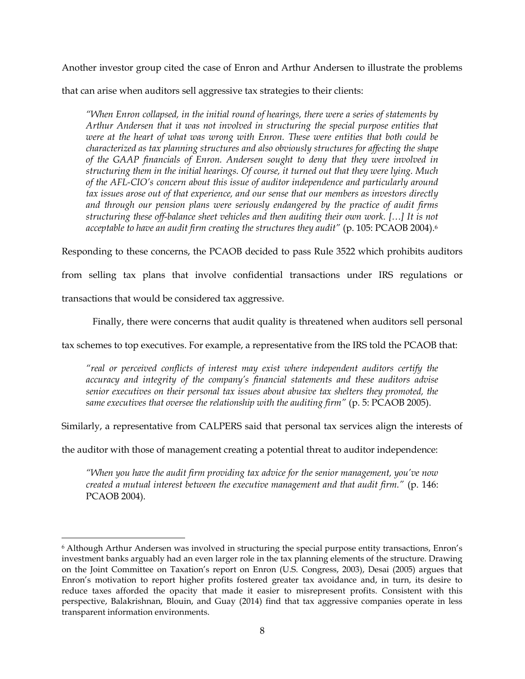Another investor group cited the case of Enron and Arthur Andersen to illustrate the problems

that can arise when auditors sell aggressive tax strategies to their clients:

"When Enron collapsed, in the initial round of hearings, there were a series of statements by Arthur Andersen that it was not involved in structuring the special purpose entities that were at the heart of what was wrong with Enron. These were entities that both could be characterized as tax planning structures and also obviously structures for affecting the shape of the GAAP financials of Enron. Andersen sought to deny that they were involved in structuring them in the initial hearings. Of course, it turned out that they were lying. Much of the AFL-CIO's concern about this issue of auditor independence and particularly around tax issues arose out of that experience, and our sense that our members as investors directly and through our pension plans were seriously endangered by the practice of audit firms structuring these off-balance sheet vehicles and then auditing their own work. […] It is not acceptable to have an audit firm creating the structures they audit" (p. 105: PCAOB 2004).<sup>6</sup>

Responding to these concerns, the PCAOB decided to pass Rule 3522 which prohibits auditors

from selling tax plans that involve confidential transactions under IRS regulations or

transactions that would be considered tax aggressive.

 $\overline{a}$ 

Finally, there were concerns that audit quality is threatened when auditors sell personal

tax schemes to top executives. For example, a representative from the IRS told the PCAOB that:

"real or perceived conflicts of interest may exist where independent auditors certify the accuracy and integrity of the company's financial statements and these auditors advise senior executives on their personal tax issues about abusive tax shelters they promoted, the same executives that oversee the relationship with the auditing firm" (p. 5: PCAOB 2005).

Similarly, a representative from CALPERS said that personal tax services align the interests of

the auditor with those of management creating a potential threat to auditor independence:

"When you have the audit firm providing tax advice for the senior management, you've now created a mutual interest between the executive management and that audit firm." (p. 146: PCAOB 2004).

<sup>6</sup> Although Arthur Andersen was involved in structuring the special purpose entity transactions, Enron's investment banks arguably had an even larger role in the tax planning elements of the structure. Drawing on the Joint Committee on Taxation's report on Enron (U.S. Congress, 2003), Desai (2005) argues that Enron's motivation to report higher profits fostered greater tax avoidance and, in turn, its desire to reduce taxes afforded the opacity that made it easier to misrepresent profits. Consistent with this perspective, Balakrishnan, Blouin, and Guay (2014) find that tax aggressive companies operate in less transparent information environments.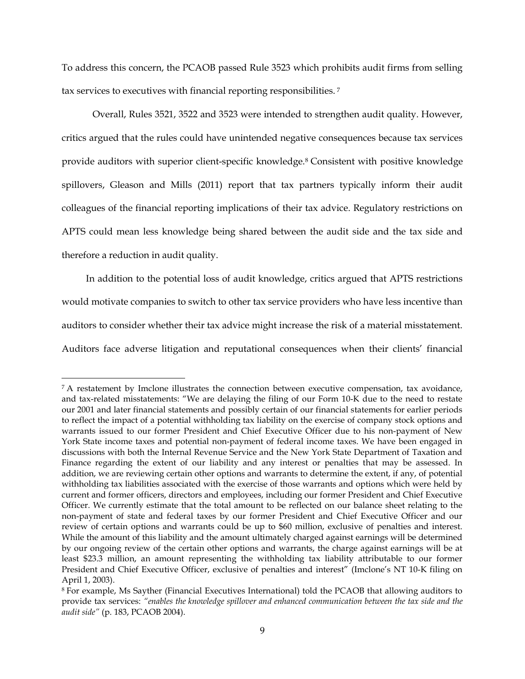To address this concern, the PCAOB passed Rule 3523 which prohibits audit firms from selling tax services to executives with financial reporting responsibilities.<sup>7</sup>

 Overall, Rules 3521, 3522 and 3523 were intended to strengthen audit quality. However, critics argued that the rules could have unintended negative consequences because tax services provide auditors with superior client-specific knowledge.8 Consistent with positive knowledge spillovers, Gleason and Mills (2011) report that tax partners typically inform their audit colleagues of the financial reporting implications of their tax advice. Regulatory restrictions on APTS could mean less knowledge being shared between the audit side and the tax side and therefore a reduction in audit quality.

In addition to the potential loss of audit knowledge, critics argued that APTS restrictions would motivate companies to switch to other tax service providers who have less incentive than auditors to consider whether their tax advice might increase the risk of a material misstatement. Auditors face adverse litigation and reputational consequences when their clients' financial

 $\overline{a}$ 

<sup>&</sup>lt;sup>7</sup> A restatement by Imclone illustrates the connection between executive compensation, tax avoidance, and tax-related misstatements: "We are delaying the filing of our Form 10-K due to the need to restate our 2001 and later financial statements and possibly certain of our financial statements for earlier periods to reflect the impact of a potential withholding tax liability on the exercise of company stock options and warrants issued to our former President and Chief Executive Officer due to his non-payment of New York State income taxes and potential non-payment of federal income taxes. We have been engaged in discussions with both the Internal Revenue Service and the New York State Department of Taxation and Finance regarding the extent of our liability and any interest or penalties that may be assessed. In addition, we are reviewing certain other options and warrants to determine the extent, if any, of potential withholding tax liabilities associated with the exercise of those warrants and options which were held by current and former officers, directors and employees, including our former President and Chief Executive Officer. We currently estimate that the total amount to be reflected on our balance sheet relating to the non-payment of state and federal taxes by our former President and Chief Executive Officer and our review of certain options and warrants could be up to \$60 million, exclusive of penalties and interest. While the amount of this liability and the amount ultimately charged against earnings will be determined by our ongoing review of the certain other options and warrants, the charge against earnings will be at least \$23.3 million, an amount representing the withholding tax liability attributable to our former President and Chief Executive Officer, exclusive of penalties and interest" (Imclone's NT 10-K filing on April 1, 2003).

<sup>8</sup> For example, Ms Sayther (Financial Executives International) told the PCAOB that allowing auditors to provide tax services: "enables the knowledge spillover and enhanced communication between the tax side and the audit side" (p. 183, PCAOB 2004).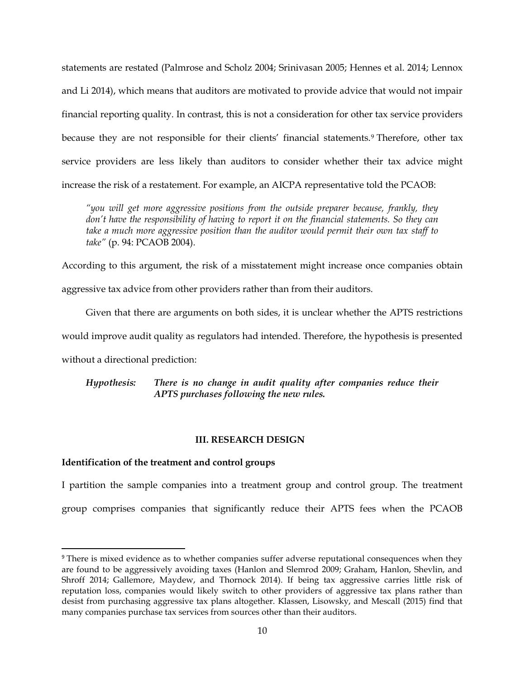statements are restated (Palmrose and Scholz 2004; Srinivasan 2005; Hennes et al. 2014; Lennox and Li 2014), which means that auditors are motivated to provide advice that would not impair financial reporting quality. In contrast, this is not a consideration for other tax service providers because they are not responsible for their clients' financial statements.9 Therefore, other tax service providers are less likely than auditors to consider whether their tax advice might increase the risk of a restatement. For example, an AICPA representative told the PCAOB:

"you will get more aggressive positions from the outside preparer because, frankly, they don't have the responsibility of having to report it on the financial statements. So they can take a much more aggressive position than the auditor would permit their own tax staff to take" (p. 94: PCAOB 2004).

According to this argument, the risk of a misstatement might increase once companies obtain

aggressive tax advice from other providers rather than from their auditors.

Given that there are arguments on both sides, it is unclear whether the APTS restrictions would improve audit quality as regulators had intended. Therefore, the hypothesis is presented without a directional prediction:

Hypothesis: There is no change in audit quality after companies reduce their APTS purchases following the new rules.

## III. RESEARCH DESIGN

## Identification of the treatment and control groups

I partition the sample companies into a treatment group and control group. The treatment group comprises companies that significantly reduce their APTS fees when the PCAOB

<sup>&</sup>lt;sup>9</sup> There is mixed evidence as to whether companies suffer adverse reputational consequences when they are found to be aggressively avoiding taxes (Hanlon and Slemrod 2009; Graham, Hanlon, Shevlin, and Shroff 2014; Gallemore, Maydew, and Thornock 2014). If being tax aggressive carries little risk of reputation loss, companies would likely switch to other providers of aggressive tax plans rather than desist from purchasing aggressive tax plans altogether. Klassen, Lisowsky, and Mescall (2015) find that many companies purchase tax services from sources other than their auditors.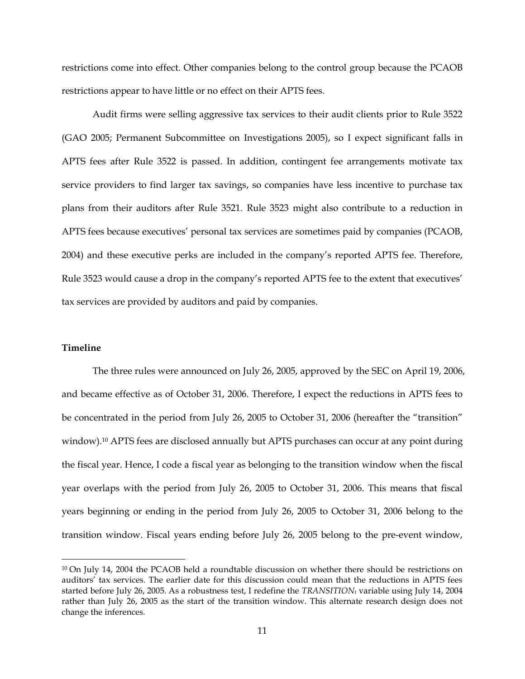restrictions come into effect. Other companies belong to the control group because the PCAOB restrictions appear to have little or no effect on their APTS fees.

 Audit firms were selling aggressive tax services to their audit clients prior to Rule 3522 (GAO 2005; Permanent Subcommittee on Investigations 2005), so I expect significant falls in APTS fees after Rule 3522 is passed. In addition, contingent fee arrangements motivate tax service providers to find larger tax savings, so companies have less incentive to purchase tax plans from their auditors after Rule 3521. Rule 3523 might also contribute to a reduction in APTS fees because executives' personal tax services are sometimes paid by companies (PCAOB, 2004) and these executive perks are included in the company's reported APTS fee. Therefore, Rule 3523 would cause a drop in the company's reported APTS fee to the extent that executives' tax services are provided by auditors and paid by companies.

#### Timeline

The three rules were announced on July 26, 2005, approved by the SEC on April 19, 2006, and became effective as of October 31, 2006. Therefore, I expect the reductions in APTS fees to be concentrated in the period from July 26, 2005 to October 31, 2006 (hereafter the "transition" window).<sup>10</sup> APTS fees are disclosed annually but APTS purchases can occur at any point during the fiscal year. Hence, I code a fiscal year as belonging to the transition window when the fiscal year overlaps with the period from July 26, 2005 to October 31, 2006. This means that fiscal years beginning or ending in the period from July 26, 2005 to October 31, 2006 belong to the transition window. Fiscal years ending before July 26, 2005 belong to the pre-event window,

<sup>&</sup>lt;sup>10</sup> On July 14, 2004 the PCAOB held a roundtable discussion on whether there should be restrictions on auditors' tax services. The earlier date for this discussion could mean that the reductions in APTS fees started before July 26, 2005. As a robustness test, I redefine the TRANSITION<sub>t</sub> variable using July 14, 2004 rather than July 26, 2005 as the start of the transition window. This alternate research design does not change the inferences.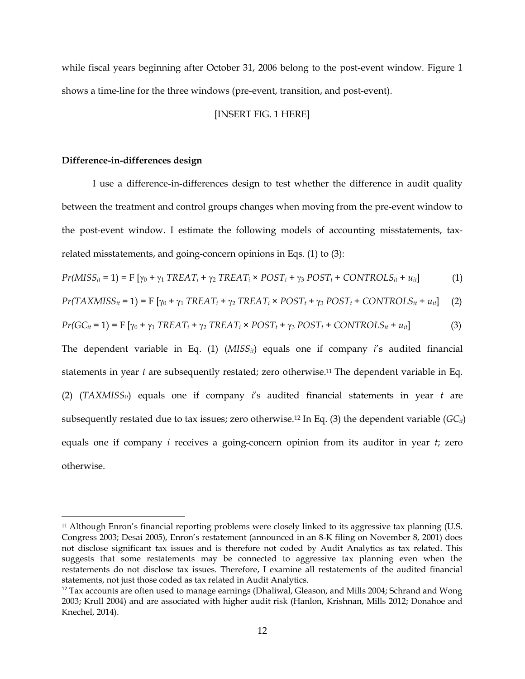while fiscal years beginning after October 31, 2006 belong to the post-event window. Figure 1 shows a time-line for the three windows (pre-event, transition, and post-event).

### [INSERT FIG. 1 HERE]

#### Difference-in-differences design

I use a difference-in-differences design to test whether the difference in audit quality between the treatment and control groups changes when moving from the pre-event window to the post-event window. I estimate the following models of accounting misstatements, taxrelated misstatements, and going-concern opinions in Eqs. (1) to (3):

$$
Pr(MISS_{it}=1) = F[\gamma_0 + \gamma_1 \text{ TREA}T_i + \gamma_2 \text{ TREA}T_i \times POST_t + \gamma_3 \text{ POST}_t + CONTROLS_{it} + u_{it}] \tag{1}
$$

$$
Pr(TAXMISS_{it}=1) = F[\gamma_0 + \gamma_1 TREAT_i + \gamma_2 TREAT_i \times POST_t + \gamma_3 POST_t + CONTROLS_{it} + u_{it}] \tag{2}
$$

$$
Pr(GC_{it} = 1) = F[\gamma_0 + \gamma_1 \text{ TREA}T_i + \gamma_2 \text{ TREA}T_i \times POST_t + \gamma_3 \text{ POST}_t + CONTROLS_{it} + u_{it}] \tag{3}
$$

The dependent variable in Eq. (1)  $(MISS_{it})$  equals one if company i's audited financial statements in year t are subsequently restated; zero otherwise.<sup>11</sup> The dependent variable in Eq. (2)  $(TAXMISS<sub>it</sub>)$  equals one if company i's audited financial statements in year t are subsequently restated due to tax issues; zero otherwise.<sup>12</sup> In Eq. (3) the dependent variable ( $GC<sub>it</sub>$ ) equals one if company i receives a going-concern opinion from its auditor in year t; zero otherwise.

<sup>&</sup>lt;sup>11</sup> Although Enron's financial reporting problems were closely linked to its aggressive tax planning (U.S. Congress 2003; Desai 2005), Enron's restatement (announced in an 8-K filing on November 8, 2001) does not disclose significant tax issues and is therefore not coded by Audit Analytics as tax related. This suggests that some restatements may be connected to aggressive tax planning even when the restatements do not disclose tax issues. Therefore, I examine all restatements of the audited financial statements, not just those coded as tax related in Audit Analytics.

<sup>&</sup>lt;sup>12</sup> Tax accounts are often used to manage earnings (Dhaliwal, Gleason, and Mills 2004; Schrand and Wong 2003; Krull 2004) and are associated with higher audit risk (Hanlon, Krishnan, Mills 2012; Donahoe and Knechel, 2014).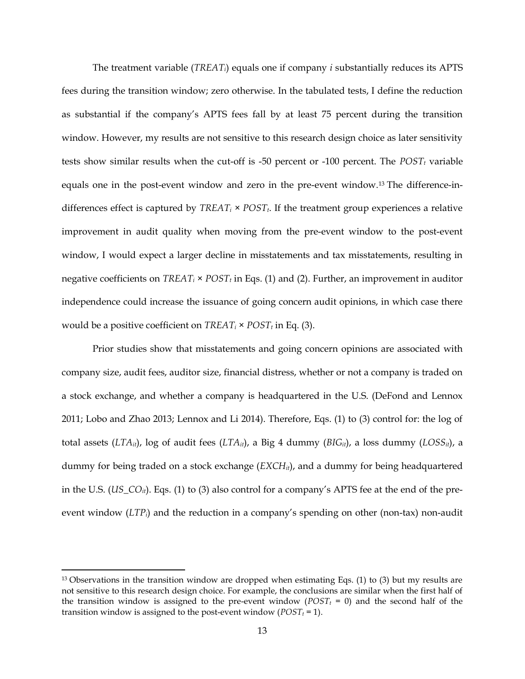The treatment variable  $(TREAT_i)$  equals one if company *i* substantially reduces its APTS fees during the transition window; zero otherwise. In the tabulated tests, I define the reduction as substantial if the company's APTS fees fall by at least 75 percent during the transition window. However, my results are not sensitive to this research design choice as later sensitivity tests show similar results when the cut-off is -50 percent or -100 percent. The  $POST_t$  variable equals one in the post-event window and zero in the pre-event window.13 The difference-indifferences effect is captured by  $TREAT_i \times POST_i$ . If the treatment group experiences a relative improvement in audit quality when moving from the pre-event window to the post-event window, I would expect a larger decline in misstatements and tax misstatements, resulting in negative coefficients on  $TREAT_i \times POST_t$  in Eqs. (1) and (2). Further, an improvement in auditor independence could increase the issuance of going concern audit opinions, in which case there would be a positive coefficient on  $TREAT_i \times POST_t$  in Eq. (3).

Prior studies show that misstatements and going concern opinions are associated with company size, audit fees, auditor size, financial distress, whether or not a company is traded on a stock exchange, and whether a company is headquartered in the U.S. (DeFond and Lennox 2011; Lobo and Zhao 2013; Lennox and Li 2014). Therefore, Eqs. (1) to (3) control for: the log of total assets (LTA<sub>it</sub>), log of audit fees (LTA<sub>it</sub>), a Big 4 dummy (BIG<sub>it</sub>), a loss dummy (LOSS<sub>it</sub>), a dummy for being traded on a stock exchange  $(EXCH_{it})$ , and a dummy for being headquartered in the U.S.  $(US\_CO_{it})$ . Eqs. (1) to (3) also control for a company's APTS fee at the end of the preevent window  $(LTP_i)$  and the reduction in a company's spending on other (non-tax) non-audit

<sup>&</sup>lt;sup>13</sup> Observations in the transition window are dropped when estimating Eqs. (1) to (3) but my results are not sensitive to this research design choice. For example, the conclusions are similar when the first half of the transition window is assigned to the pre-event window ( $POST_t = 0$ ) and the second half of the transition window is assigned to the post-event window ( $POST_t = 1$ ).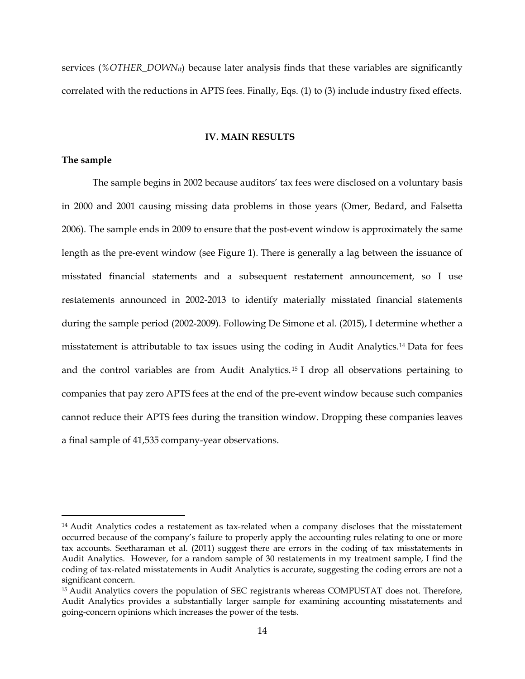services (%OTHER\_DOWN<sub>it</sub>) because later analysis finds that these variables are significantly correlated with the reductions in APTS fees. Finally, Eqs. (1) to (3) include industry fixed effects.

#### IV. MAIN RESULTS

#### The sample

The sample begins in 2002 because auditors' tax fees were disclosed on a voluntary basis in 2000 and 2001 causing missing data problems in those years (Omer, Bedard, and Falsetta 2006). The sample ends in 2009 to ensure that the post-event window is approximately the same length as the pre-event window (see Figure 1). There is generally a lag between the issuance of misstated financial statements and a subsequent restatement announcement, so I use restatements announced in 2002-2013 to identify materially misstated financial statements during the sample period (2002-2009). Following De Simone et al. (2015), I determine whether a misstatement is attributable to tax issues using the coding in Audit Analytics.14 Data for fees and the control variables are from Audit Analytics. <sup>15</sup> I drop all observations pertaining to companies that pay zero APTS fees at the end of the pre-event window because such companies cannot reduce their APTS fees during the transition window. Dropping these companies leaves a final sample of 41,535 company-year observations.

<sup>&</sup>lt;sup>14</sup> Audit Analytics codes a restatement as tax-related when a company discloses that the misstatement occurred because of the company's failure to properly apply the accounting rules relating to one or more tax accounts. Seetharaman et al. (2011) suggest there are errors in the coding of tax misstatements in Audit Analytics. However, for a random sample of 30 restatements in my treatment sample, I find the coding of tax-related misstatements in Audit Analytics is accurate, suggesting the coding errors are not a significant concern.

<sup>&</sup>lt;sup>15</sup> Audit Analytics covers the population of SEC registrants whereas COMPUSTAT does not. Therefore, Audit Analytics provides a substantially larger sample for examining accounting misstatements and going-concern opinions which increases the power of the tests.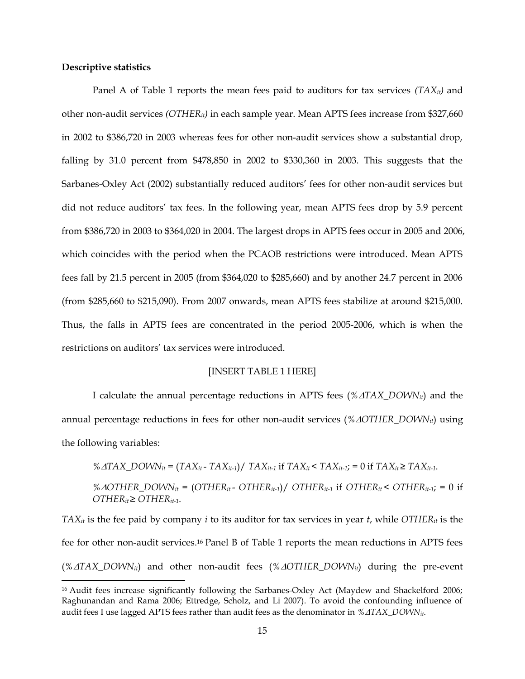#### Descriptive statistics

Panel A of Table 1 reports the mean fees paid to auditors for tax services  $(TAX_{it})$  and other non-audit services ( $\text{OTHER}_{it}$ ) in each sample year. Mean APTS fees increase from \$327,660 in 2002 to \$386,720 in 2003 whereas fees for other non-audit services show a substantial drop, falling by 31.0 percent from \$478,850 in 2002 to \$330,360 in 2003. This suggests that the Sarbanes-Oxley Act (2002) substantially reduced auditors' fees for other non-audit services but did not reduce auditors' tax fees. In the following year, mean APTS fees drop by 5.9 percent from \$386,720 in 2003 to \$364,020 in 2004. The largest drops in APTS fees occur in 2005 and 2006, which coincides with the period when the PCAOB restrictions were introduced. Mean APTS fees fall by 21.5 percent in 2005 (from \$364,020 to \$285,660) and by another 24.7 percent in 2006 (from \$285,660 to \$215,090). From 2007 onwards, mean APTS fees stabilize at around \$215,000. Thus, the falls in APTS fees are concentrated in the period 2005-2006, which is when the restrictions on auditors' tax services were introduced.

#### [INSERT TABLE 1 HERE]

I calculate the annual percentage reductions in APTS fees  $(\%ATAX_DOWN_{it})$  and the annual percentage reductions in fees for other non-audit services (% $\triangle$ OTHER\_DOWN<sub>it</sub>) using the following variables:

% $ATAX\_DOWN_{it} = (TAX_{it} - TAX_{it-1})/ TAX_{it-1}$  if  $TAX_{it} < TAX_{it-1}$ ; = 0 if  $TAX_{it} \geq TAX_{it-1}$ .

% $\Delta$ OTHER\_DOWN<sub>it</sub> = (OTHER<sub>it</sub>- OTHER<sub>it-1</sub>)/ OTHER<sub>it-1</sub> if OTHER<sub>it</sub>< OTHER<sub>it-1</sub>; = 0 if  $OTHER_{it} \geq OTHER_{it-1}$ .

 $TAX_{it}$  is the fee paid by company *i* to its auditor for tax services in year *t*, while OTHER<sub>it</sub> is the fee for other non-audit services.16 Panel B of Table 1 reports the mean reductions in APTS fees  $(\% \triangle TAX\_DOWN_{it})$  and other non-audit fees  $(\% \triangle OTHER\_DOWN_{it})$  during the pre-event

<sup>&</sup>lt;sup>16</sup> Audit fees increase significantly following the Sarbanes-Oxley Act (Maydew and Shackelford 2006; Raghunandan and Rama 2006; Ettredge, Scholz, and Li 2007). To avoid the confounding influence of audit fees I use lagged APTS fees rather than audit fees as the denominator in  $\frac{6}{4}$   $\Delta TAX\_DOWN_{it}$ .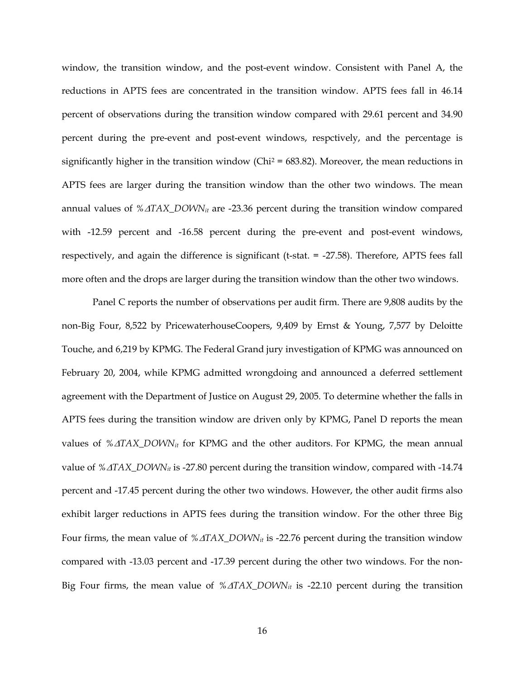window, the transition window, and the post-event window. Consistent with Panel A, the reductions in APTS fees are concentrated in the transition window. APTS fees fall in 46.14 percent of observations during the transition window compared with 29.61 percent and 34.90 percent during the pre-event and post-event windows, respctively, and the percentage is significantly higher in the transition window (Chi<sup>2</sup> =  $683.82$ ). Moreover, the mean reductions in APTS fees are larger during the transition window than the other two windows. The mean annual values of  $\%ATAX\_DOWN_{it}$  are -23.36 percent during the transition window compared with -12.59 percent and -16.58 percent during the pre-event and post-event windows, respectively, and again the difference is significant (t-stat. = -27.58). Therefore, APTS fees fall more often and the drops are larger during the transition window than the other two windows.

Panel C reports the number of observations per audit firm. There are 9,808 audits by the non-Big Four, 8,522 by PricewaterhouseCoopers, 9,409 by Ernst & Young, 7,577 by Deloitte Touche, and 6,219 by KPMG. The Federal Grand jury investigation of KPMG was announced on February 20, 2004, while KPMG admitted wrongdoing and announced a deferred settlement agreement with the Department of Justice on August 29, 2005. To determine whether the falls in APTS fees during the transition window are driven only by KPMG, Panel D reports the mean values of  $\%$   $ATAX$ \_DOWN<sub>it</sub> for KPMG and the other auditors. For KPMG, the mean annual value of % $ATAX\_DOWN_{it}$  is -27.80 percent during the transition window, compared with -14.74 percent and -17.45 percent during the other two windows. However, the other audit firms also exhibit larger reductions in APTS fees during the transition window. For the other three Big Four firms, the mean value of  $\%$   $ATAX\_DOWN_{it}$  is -22.76 percent during the transition window compared with -13.03 percent and -17.39 percent during the other two windows. For the non-Big Four firms, the mean value of  $\%$   $ATAX$  DOWN<sub>it</sub> is -22.10 percent during the transition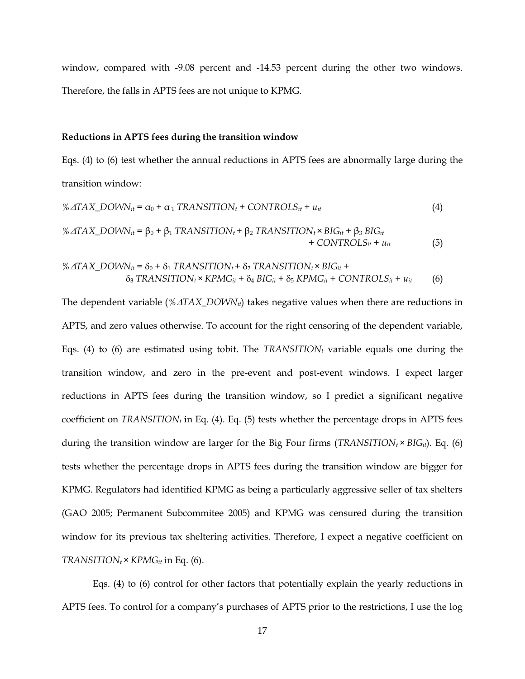window, compared with -9.08 percent and -14.53 percent during the other two windows. Therefore, the falls in APTS fees are not unique to KPMG.

#### Reductions in APTS fees during the transition window

Eqs. (4) to (6) test whether the annual reductions in APTS fees are abnormally large during the transition window:

$$
\%ATAX_DOWN_{it} = \alpha_0 + \alpha_1 TRANSITION_t + CONTROLS_{it} + u_{it}
$$
  
\n
$$
\%ATAX_DOWN_{it} = \beta_0 + \beta_1 TRANSITION_t + \beta_2 TRANSITION_t \times BIG_{it} + \beta_3 BIG_{it}
$$
  
\n
$$
+ CONTROLS_{it} + u_{it}
$$
  
\n(5)

$$
\%ATAX\_DOWN_{it} = \delta_0 + \delta_1 \text{ TRANSITION}_{t} + \delta_2 \text{ TRANSITION}_{t} \times BIG_{it} +
$$
  
 
$$
\delta_3 \text{TRANSTITION}_{t} \times \text{KPMG}_{it} + \delta_4 \text{ BIG}_{it} + \delta_5 \text{KPMG}_{it} + \text{CONTROLS}_{it} + u_{it} \tag{6}
$$

The dependent variable (% $\triangle$ TAX\_DOWN<sub>it</sub>) takes negative values when there are reductions in APTS, and zero values otherwise. To account for the right censoring of the dependent variable, Eqs. (4) to (6) are estimated using tobit. The TRANSITION<sub>t</sub> variable equals one during the transition window, and zero in the pre-event and post-event windows. I expect larger reductions in APTS fees during the transition window, so I predict a significant negative coefficient on  $TRANSITION<sub>t</sub>$  in Eq. (4). Eq. (5) tests whether the percentage drops in APTS fees during the transition window are larger for the Big Four firms (TRANSITION<sub>t</sub>  $\times$  BIG<sub>it</sub>). Eq. (6) tests whether the percentage drops in APTS fees during the transition window are bigger for KPMG. Regulators had identified KPMG as being a particularly aggressive seller of tax shelters (GAO 2005; Permanent Subcommitee 2005) and KPMG was censured during the transition window for its previous tax sheltering activities. Therefore, I expect a negative coefficient on  $TRANSITION_t \times KPMG_{it}$  in Eq. (6).

Eqs. (4) to (6) control for other factors that potentially explain the yearly reductions in APTS fees. To control for a company's purchases of APTS prior to the restrictions, I use the log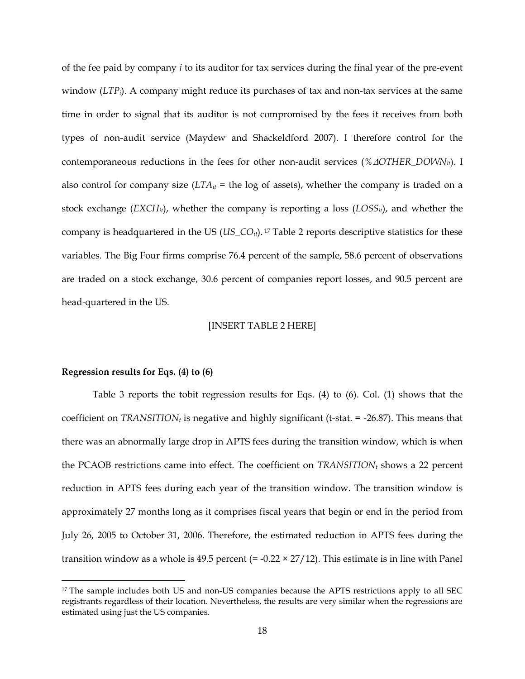of the fee paid by company  $i$  to its auditor for tax services during the final year of the pre-event window  $(LTP_i)$ . A company might reduce its purchases of tax and non-tax services at the same time in order to signal that its auditor is not compromised by the fees it receives from both types of non-audit service (Maydew and Shackeldford 2007). I therefore control for the contemporaneous reductions in the fees for other non-audit services (% $\triangle$ OTHER\_DOWN<sub>it</sub>). I also control for company size  $(LTA_{it} =$  the log of assets), whether the company is traded on a stock exchange ( $EXCH_{it}$ ), whether the company is reporting a loss ( $LOSSt_{it}$ ), and whether the company is headquartered in the US  $(US\_CO_{it})$ . <sup>17</sup> Table 2 reports descriptive statistics for these variables. The Big Four firms comprise 76.4 percent of the sample, 58.6 percent of observations are traded on a stock exchange, 30.6 percent of companies report losses, and 90.5 percent are head-quartered in the US.

#### [INSERT TABLE 2 HERE]

#### Regression results for Eqs. (4) to (6)

Table 3 reports the tobit regression results for Eqs. (4) to (6). Col. (1) shows that the coefficient on TRANSITION<sub>t</sub> is negative and highly significant (t-stat.  $= -26.87$ ). This means that there was an abnormally large drop in APTS fees during the transition window, which is when the PCAOB restrictions came into effect. The coefficient on  $TRANSITION<sub>t</sub>$  shows a 22 percent reduction in APTS fees during each year of the transition window. The transition window is approximately 27 months long as it comprises fiscal years that begin or end in the period from July 26, 2005 to October 31, 2006. Therefore, the estimated reduction in APTS fees during the transition window as a whole is 49.5 percent (=  $-0.22 \times 27/12$ ). This estimate is in line with Panel

<sup>&</sup>lt;sup>17</sup> The sample includes both US and non-US companies because the APTS restrictions apply to all SEC registrants regardless of their location. Nevertheless, the results are very similar when the regressions are estimated using just the US companies.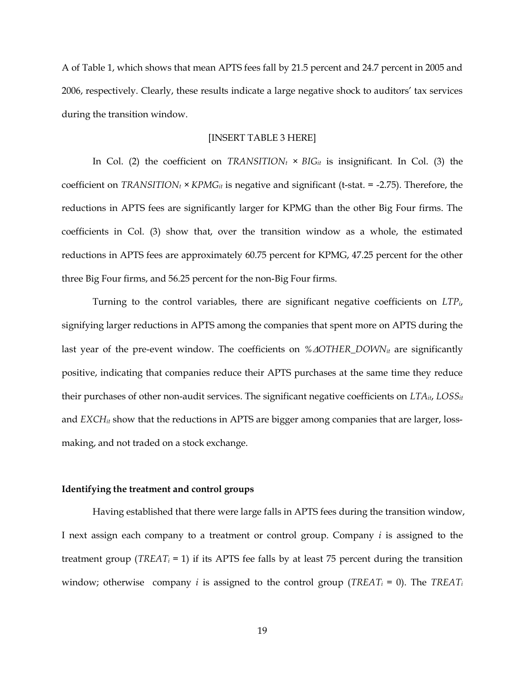A of Table 1, which shows that mean APTS fees fall by 21.5 percent and 24.7 percent in 2005 and 2006, respectively. Clearly, these results indicate a large negative shock to auditors' tax services during the transition window.

#### [INSERT TABLE 3 HERE]

In Col. (2) the coefficient on TRANSITION<sub>t</sub>  $\times$  BIG<sub>it</sub> is insignificant. In Col. (3) the coefficient on TRANSITION<sub>t</sub>  $\times$  KPMG<sub>it</sub> is negative and significant (t-stat. = -2.75). Therefore, the reductions in APTS fees are significantly larger for KPMG than the other Big Four firms. The coefficients in Col. (3) show that, over the transition window as a whole, the estimated reductions in APTS fees are approximately 60.75 percent for KPMG, 47.25 percent for the other three Big Four firms, and 56.25 percent for the non-Big Four firms.

Turning to the control variables, there are significant negative coefficients on  $LTP_i$ , signifying larger reductions in APTS among the companies that spent more on APTS during the last year of the pre-event window. The coefficients on  $% \triangle$  OTHER\_DOWN<sub>it</sub> are significantly positive, indicating that companies reduce their APTS purchases at the same time they reduce their purchases of other non-audit services. The significant negative coefficients on  $LTA_{it}$ ,  $LOSS_{it}$ and  $EXCH_{it}$  show that the reductions in APTS are bigger among companies that are larger, lossmaking, and not traded on a stock exchange.

#### Identifying the treatment and control groups

Having established that there were large falls in APTS fees during the transition window, I next assign each company to a treatment or control group. Company  $i$  is assigned to the treatment group (TREAT<sub>i</sub> = 1) if its APTS fee falls by at least 75 percent during the transition window; otherwise company *i* is assigned to the control group (TREAT<sub>i</sub> = 0). The TREAT<sub>i</sub>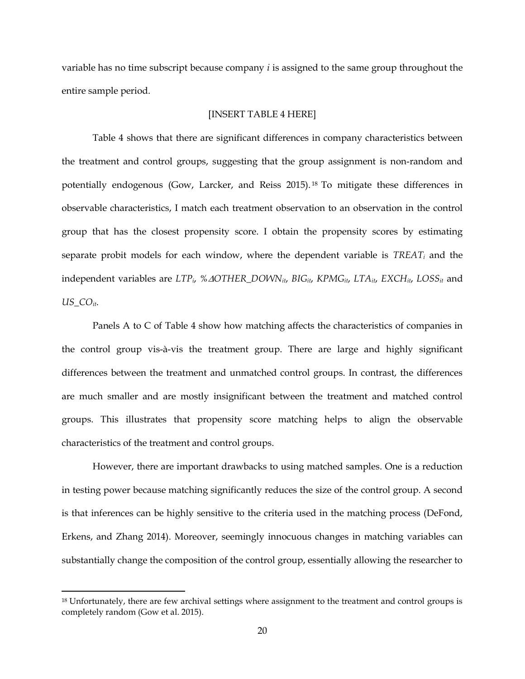variable has no time subscript because company  $i$  is assigned to the same group throughout the entire sample period.

#### [INSERT TABLE 4 HERE]

 Table 4 shows that there are significant differences in company characteristics between the treatment and control groups, suggesting that the group assignment is non-random and potentially endogenous (Gow, Larcker, and Reiss 2015). <sup>18</sup> To mitigate these differences in observable characteristics, I match each treatment observation to an observation in the control group that has the closest propensity score. I obtain the propensity scores by estimating separate probit models for each window, where the dependent variable is  $TREAT_i$  and the independent variables are  $LTP_i$ , % $\triangle$ OTHER\_DOWN<sub>it</sub>, BIG<sub>it</sub>, KPMG<sub>it</sub>, LTA<sub>it</sub>, EXCH<sub>it</sub>, LOSS<sub>it</sub> and US  $CO_{it}$ .

Panels A to C of Table 4 show how matching affects the characteristics of companies in the control group vis-à-vis the treatment group. There are large and highly significant differences between the treatment and unmatched control groups. In contrast, the differences are much smaller and are mostly insignificant between the treatment and matched control groups. This illustrates that propensity score matching helps to align the observable characteristics of the treatment and control groups.

However, there are important drawbacks to using matched samples. One is a reduction in testing power because matching significantly reduces the size of the control group. A second is that inferences can be highly sensitive to the criteria used in the matching process (DeFond, Erkens, and Zhang 2014). Moreover, seemingly innocuous changes in matching variables can substantially change the composition of the control group, essentially allowing the researcher to

<sup>&</sup>lt;sup>18</sup> Unfortunately, there are few archival settings where assignment to the treatment and control groups is completely random (Gow et al. 2015).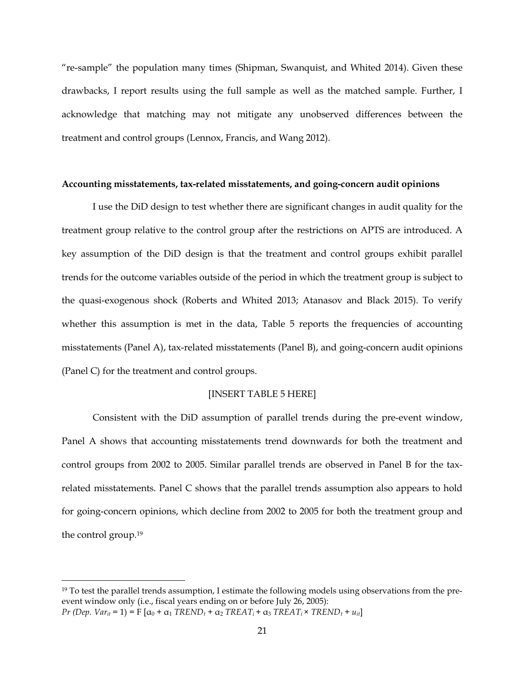"re-sample" the population many times (Shipman, Swanquist, and Whited 2014). Given these drawbacks, I report results using the full sample as well as the matched sample. Further, I acknowledge that matching may not mitigate any unobserved differences between the treatment and control groups (Lennox, Francis, and Wang 2012).

#### Accounting misstatements, tax-related misstatements, and going-concern audit opinions

I use the DiD design to test whether there are significant changes in audit quality for the treatment group relative to the control group after the restrictions on APTS are introduced. A key assumption of the DiD design is that the treatment and control groups exhibit parallel trends for the outcome variables outside of the period in which the treatment group is subject to the quasi-exogenous shock (Roberts and Whited 2013; Atanasov and Black 2015). To verify whether this assumption is met in the data, Table 5 reports the frequencies of accounting misstatements (Panel A), tax-related misstatements (Panel B), and going-concern audit opinions (Panel C) for the treatment and control groups.

#### [INSERT TABLE 5 HERE]

Consistent with the DiD assumption of parallel trends during the pre-event window, Panel A shows that accounting misstatements trend downwards for both the treatment and control groups from 2002 to 2005. Similar parallel trends are observed in Panel B for the taxrelated misstatements. Panel C shows that the parallel trends assumption also appears to hold for going-concern opinions, which decline from 2002 to 2005 for both the treatment group and the control group.<sup>19</sup>

<sup>&</sup>lt;sup>19</sup> To test the parallel trends assumption, I estimate the following models using observations from the preevent window only (i.e., fiscal years ending on or before July 26, 2005): Pr (Dep.  $Var_{it} = 1$ ) = F  $\left[\alpha_0 + \alpha_1 \text{ TREND}_t + \alpha_2 \text{ TREAT}_i + \alpha_3 \text{ TREAT}_i \times \text{ TREND}_t + u_{it}\right]$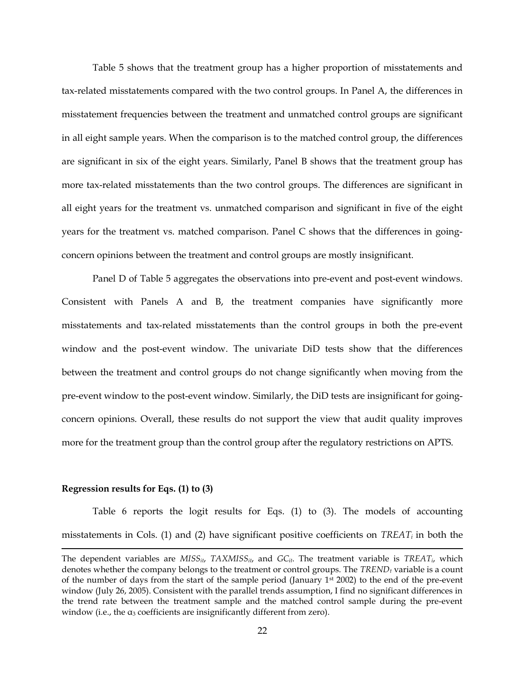Table 5 shows that the treatment group has a higher proportion of misstatements and tax-related misstatements compared with the two control groups. In Panel A, the differences in misstatement frequencies between the treatment and unmatched control groups are significant in all eight sample years. When the comparison is to the matched control group, the differences are significant in six of the eight years. Similarly, Panel B shows that the treatment group has more tax-related misstatements than the two control groups. The differences are significant in all eight years for the treatment vs. unmatched comparison and significant in five of the eight years for the treatment vs. matched comparison. Panel C shows that the differences in goingconcern opinions between the treatment and control groups are mostly insignificant.

Panel D of Table 5 aggregates the observations into pre-event and post-event windows. Consistent with Panels A and B, the treatment companies have significantly more misstatements and tax-related misstatements than the control groups in both the pre-event window and the post-event window. The univariate DiD tests show that the differences between the treatment and control groups do not change significantly when moving from the pre-event window to the post-event window. Similarly, the DiD tests are insignificant for goingconcern opinions. Overall, these results do not support the view that audit quality improves more for the treatment group than the control group after the regulatory restrictions on APTS.

#### Regression results for Eqs. (1) to (3)

Table 6 reports the logit results for Eqs. (1) to (3). The models of accounting misstatements in Cols. (1) and (2) have significant positive coefficients on  $TREAT_i$  in both the

The dependent variables are  $MISS_{it}$ , TAXMISS<sub>it</sub>, and  $GC_{it}$ . The treatment variable is TREAT<sub>i</sub>, which denotes whether the company belongs to the treatment or control groups. The  $TREDD_t$  variable is a count of the number of days from the start of the sample period (January 1st 2002) to the end of the pre-event window (July 26, 2005). Consistent with the parallel trends assumption, I find no significant differences in the trend rate between the treatment sample and the matched control sample during the pre-event window (i.e., the  $\alpha_3$  coefficients are insignificantly different from zero).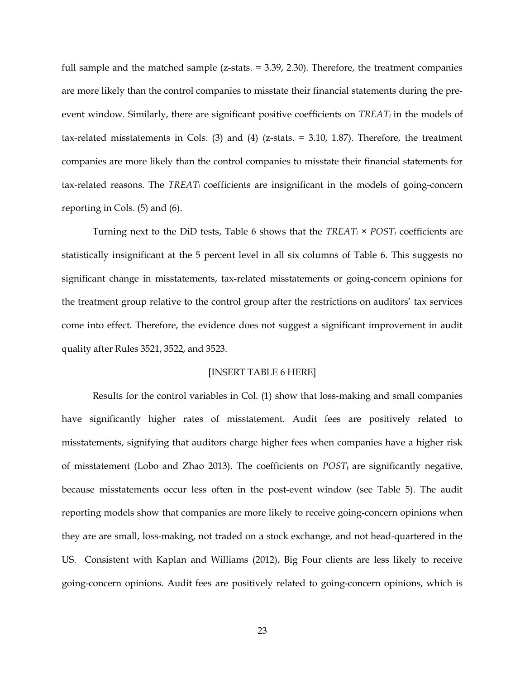full sample and the matched sample  $(z$ -stats.  $= 3.39, 2.30$ ). Therefore, the treatment companies are more likely than the control companies to misstate their financial statements during the preevent window. Similarly, there are significant positive coefficients on  $TREAT_i$  in the models of tax-related misstatements in Cols. (3) and (4) (z-stats. = 3.10, 1.87). Therefore, the treatment companies are more likely than the control companies to misstate their financial statements for tax-related reasons. The  $T_{i}$  coefficients are insignificant in the models of going-concern reporting in Cols. (5) and (6).

Turning next to the DiD tests, Table 6 shows that the  $TREAT_i \times POST_t$  coefficients are statistically insignificant at the 5 percent level in all six columns of Table 6. This suggests no significant change in misstatements, tax-related misstatements or going-concern opinions for the treatment group relative to the control group after the restrictions on auditors' tax services come into effect. Therefore, the evidence does not suggest a significant improvement in audit quality after Rules 3521, 3522, and 3523.

#### [INSERT TABLE 6 HERE]

Results for the control variables in Col. (1) show that loss-making and small companies have significantly higher rates of misstatement. Audit fees are positively related to misstatements, signifying that auditors charge higher fees when companies have a higher risk of misstatement (Lobo and Zhao 2013). The coefficients on  $POST_t$  are significantly negative, because misstatements occur less often in the post-event window (see Table 5). The audit reporting models show that companies are more likely to receive going-concern opinions when they are are small, loss-making, not traded on a stock exchange, and not head-quartered in the US. Consistent with Kaplan and Williams (2012), Big Four clients are less likely to receive going-concern opinions. Audit fees are positively related to going-concern opinions, which is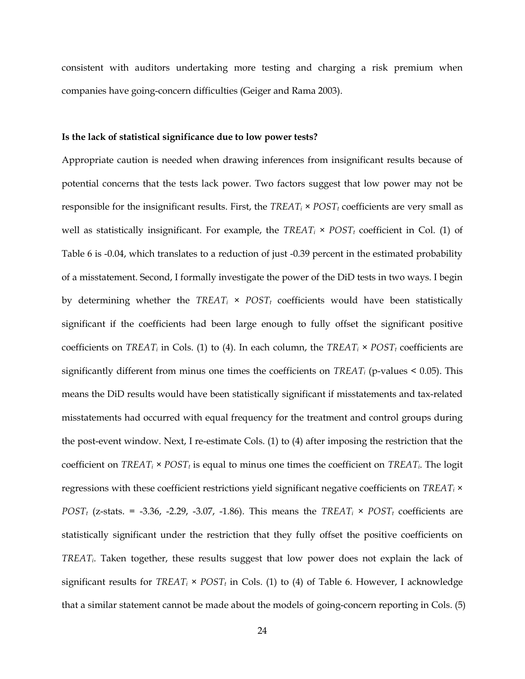consistent with auditors undertaking more testing and charging a risk premium when companies have going-concern difficulties (Geiger and Rama 2003).

#### Is the lack of statistical significance due to low power tests?

Appropriate caution is needed when drawing inferences from insignificant results because of potential concerns that the tests lack power. Two factors suggest that low power may not be responsible for the insignificant results. First, the  $TREAT_i \times POST_t$  coefficients are very small as well as statistically insignificant. For example, the TREAT<sub>i</sub>  $\times$  POST<sub>t</sub> coefficient in Col. (1) of Table 6 is -0.04, which translates to a reduction of just -0.39 percent in the estimated probability of a misstatement. Second, I formally investigate the power of the DiD tests in two ways. I begin by determining whether the  $TREAT_i \times POST_t$  coefficients would have been statistically significant if the coefficients had been large enough to fully offset the significant positive coefficients on TREAT<sub>i</sub> in Cols. (1) to (4). In each column, the TREAT<sub>i</sub>  $\times$  POST<sub>t</sub> coefficients are significantly different from minus one times the coefficients on  $TREAT_i$  (p-values < 0.05). This means the DiD results would have been statistically significant if misstatements and tax-related misstatements had occurred with equal frequency for the treatment and control groups during the post-event window. Next, I re-estimate Cols. (1) to (4) after imposing the restriction that the coefficient on  $TREAT_i \times POST_t$  is equal to minus one times the coefficient on  $TREAT_i$ . The logit regressions with these coefficient restrictions yield significant negative coefficients on TREAT<sub>i</sub>  $\times$ POST<sub>t</sub> (z-stats. = -3.36, -2.29, -3.07, -1.86). This means the TREAT<sub>i</sub>  $\times$  POST<sub>t</sub> coefficients are statistically significant under the restriction that they fully offset the positive coefficients on TREATi. Taken together, these results suggest that low power does not explain the lack of significant results for  $TREAT_i \times POST_t$  in Cols. (1) to (4) of Table 6. However, I acknowledge that a similar statement cannot be made about the models of going-concern reporting in Cols. (5)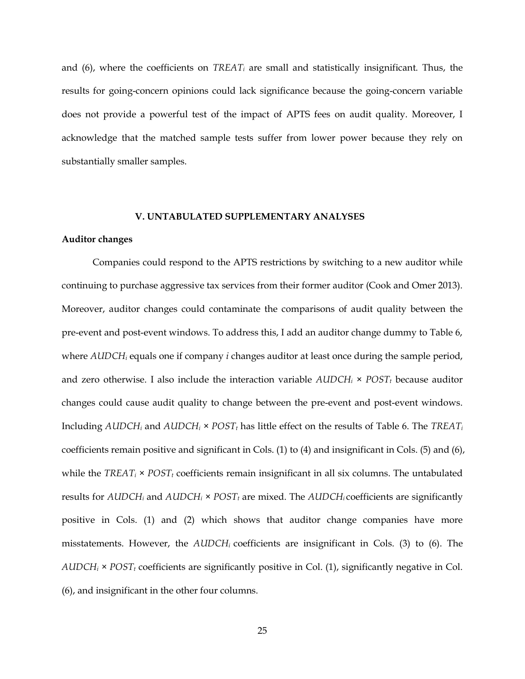and (6), where the coefficients on  $TREAL_i$  are small and statistically insignificant. Thus, the results for going-concern opinions could lack significance because the going-concern variable does not provide a powerful test of the impact of APTS fees on audit quality. Moreover, I acknowledge that the matched sample tests suffer from lower power because they rely on substantially smaller samples.

#### V. UNTABULATED SUPPLEMENTARY ANALYSES

#### Auditor changes

Companies could respond to the APTS restrictions by switching to a new auditor while continuing to purchase aggressive tax services from their former auditor (Cook and Omer 2013). Moreover, auditor changes could contaminate the comparisons of audit quality between the pre-event and post-event windows. To address this, I add an auditor change dummy to Table 6, where  $AUDCH_i$  equals one if company *i* changes auditor at least once during the sample period, and zero otherwise. I also include the interaction variable  $AUDCH_i \times POST_t$  because auditor changes could cause audit quality to change between the pre-event and post-event windows. Including  $AUDCH_i$  and  $AUDCH_i \times POST_t$  has little effect on the results of Table 6. The TREAT<sub>i</sub> coefficients remain positive and significant in Cols. (1) to (4) and insignificant in Cols. (5) and (6), while the  $T_{i} \times POST_{t}$  coefficients remain insignificant in all six columns. The untabulated results for  $AUDCH_i$  and  $AUDCH_i \times POST_t$  are mixed. The  $AUDCH_i$  coefficients are significantly positive in Cols. (1) and (2) which shows that auditor change companies have more misstatements. However, the  $AUDCH<sub>i</sub>$  coefficients are insignificant in Cols. (3) to (6). The AUDCH<sub>i</sub>  $\times$  POST<sub>t</sub> coefficients are significantly positive in Col. (1), significantly negative in Col. (6), and insignificant in the other four columns.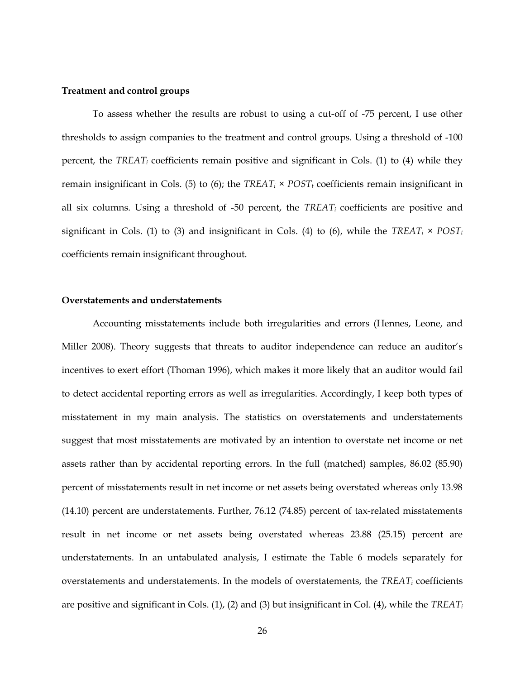#### Treatment and control groups

To assess whether the results are robust to using a cut-off of -75 percent, I use other thresholds to assign companies to the treatment and control groups. Using a threshold of -100 percent, the TREAT<sub>i</sub> coefficients remain positive and significant in Cols. (1) to (4) while they remain insignificant in Cols. (5) to (6); the TREAT<sub>i</sub>  $\times$  POST<sub>t</sub> coefficients remain insignificant in all six columns. Using a threshold of -50 percent, the  $TREAT_i$  coefficients are positive and significant in Cols. (1) to (3) and insignificant in Cols. (4) to (6), while the TREAT<sub>i</sub>  $\times$  POST<sub>t</sub> coefficients remain insignificant throughout.

#### Overstatements and understatements

Accounting misstatements include both irregularities and errors (Hennes, Leone, and Miller 2008). Theory suggests that threats to auditor independence can reduce an auditor's incentives to exert effort (Thoman 1996), which makes it more likely that an auditor would fail to detect accidental reporting errors as well as irregularities. Accordingly, I keep both types of misstatement in my main analysis. The statistics on overstatements and understatements suggest that most misstatements are motivated by an intention to overstate net income or net assets rather than by accidental reporting errors. In the full (matched) samples, 86.02 (85.90) percent of misstatements result in net income or net assets being overstated whereas only 13.98 (14.10) percent are understatements. Further, 76.12 (74.85) percent of tax-related misstatements result in net income or net assets being overstated whereas 23.88 (25.15) percent are understatements. In an untabulated analysis, I estimate the Table 6 models separately for overstatements and understatements. In the models of overstatements, the  $TREAT_i$  coefficients are positive and significant in Cols. (1), (2) and (3) but insignificant in Col. (4), while the TREAT<sub>i</sub>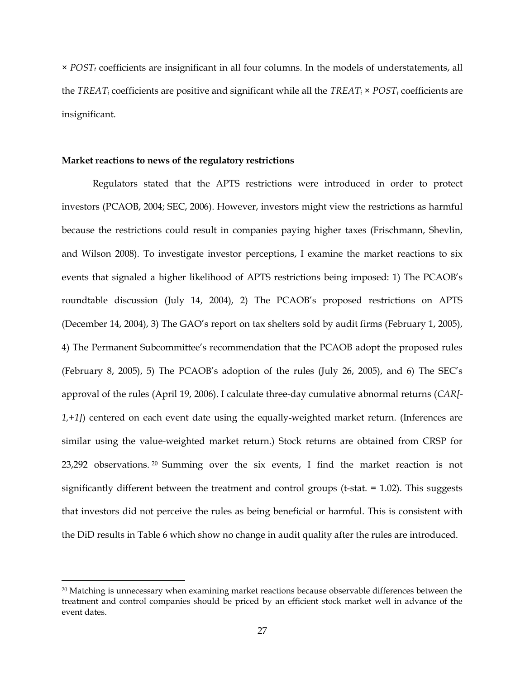$\times$  POST<sub>t</sub> coefficients are insignificant in all four columns. In the models of understatements, all the TREAT<sub>i</sub> coefficients are positive and significant while all the TREAT<sub>i</sub>  $\times$  POST<sub>t</sub> coefficients are insignificant.

#### Market reactions to news of the regulatory restrictions

Regulators stated that the APTS restrictions were introduced in order to protect investors (PCAOB, 2004; SEC, 2006). However, investors might view the restrictions as harmful because the restrictions could result in companies paying higher taxes (Frischmann, Shevlin, and Wilson 2008). To investigate investor perceptions, I examine the market reactions to six events that signaled a higher likelihood of APTS restrictions being imposed: 1) The PCAOB's roundtable discussion (July 14, 2004), 2) The PCAOB's proposed restrictions on APTS (December 14, 2004), 3) The GAO's report on tax shelters sold by audit firms (February 1, 2005), 4) The Permanent Subcommittee's recommendation that the PCAOB adopt the proposed rules (February 8, 2005), 5) The PCAOB's adoption of the rules (July 26, 2005), and 6) The SEC's approval of the rules (April 19, 2006). I calculate three-day cumulative abnormal returns (CAR[-  $1,+1$ ) centered on each event date using the equally-weighted market return. (Inferences are similar using the value-weighted market return.) Stock returns are obtained from CRSP for 23,292 observations. <sup>20</sup> Summing over the six events, I find the market reaction is not significantly different between the treatment and control groups (t-stat. = 1.02). This suggests that investors did not perceive the rules as being beneficial or harmful. This is consistent with the DiD results in Table 6 which show no change in audit quality after the rules are introduced.

<sup>&</sup>lt;sup>20</sup> Matching is unnecessary when examining market reactions because observable differences between the treatment and control companies should be priced by an efficient stock market well in advance of the event dates.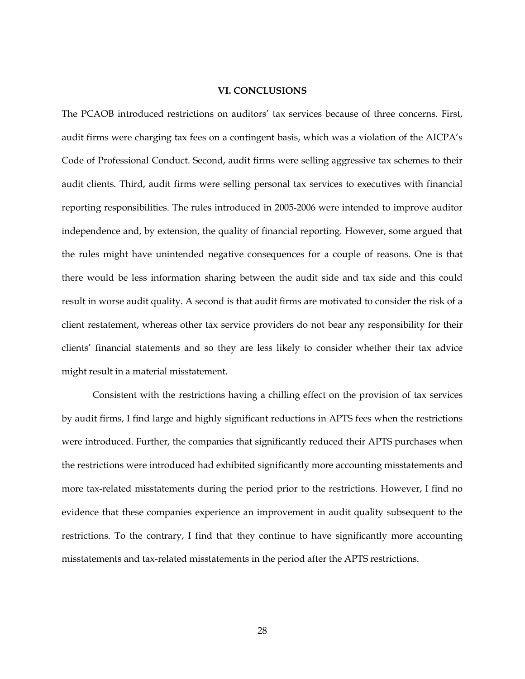#### VI. CONCLUSIONS

The PCAOB introduced restrictions on auditors' tax services because of three concerns. First, audit firms were charging tax fees on a contingent basis, which was a violation of the AICPA's Code of Professional Conduct. Second, audit firms were selling aggressive tax schemes to their audit clients. Third, audit firms were selling personal tax services to executives with financial reporting responsibilities. The rules introduced in 2005-2006 were intended to improve auditor independence and, by extension, the quality of financial reporting. However, some argued that the rules might have unintended negative consequences for a couple of reasons. One is that there would be less information sharing between the audit side and tax side and this could result in worse audit quality. A second is that audit firms are motivated to consider the risk of a client restatement, whereas other tax service providers do not bear any responsibility for their clients' financial statements and so they are less likely to consider whether their tax advice might result in a material misstatement.

 Consistent with the restrictions having a chilling effect on the provision of tax services by audit firms, I find large and highly significant reductions in APTS fees when the restrictions were introduced. Further, the companies that significantly reduced their APTS purchases when the restrictions were introduced had exhibited significantly more accounting misstatements and more tax-related misstatements during the period prior to the restrictions. However, I find no evidence that these companies experience an improvement in audit quality subsequent to the restrictions. To the contrary, I find that they continue to have significantly more accounting misstatements and tax-related misstatements in the period after the APTS restrictions.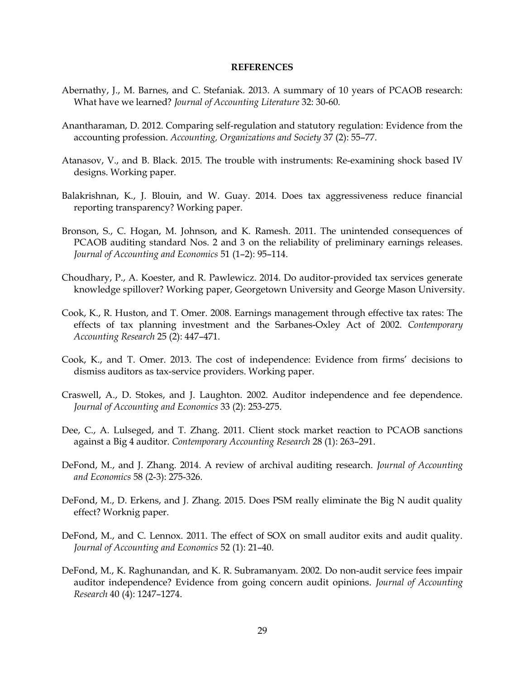#### REFERENCES

- Abernathy, J., M. Barnes, and C. Stefaniak. 2013. A summary of 10 years of PCAOB research: What have we learned? Journal of Accounting Literature 32: 30-60.
- Anantharaman, D. 2012. Comparing self-regulation and statutory regulation: Evidence from the accounting profession. Accounting, Organizations and Society 37 (2): 55–77.
- Atanasov, V., and B. Black. 2015. The trouble with instruments: Re-examining shock based IV designs. Working paper.
- Balakrishnan, K., J. Blouin, and W. Guay. 2014. Does tax aggressiveness reduce financial reporting transparency? Working paper.
- Bronson, S., C. Hogan, M. Johnson, and K. Ramesh. 2011. The unintended consequences of PCAOB auditing standard Nos. 2 and 3 on the reliability of preliminary earnings releases. Journal of Accounting and Economics 51 (1–2): 95–114.
- Choudhary, P., A. Koester, and R. Pawlewicz. 2014. Do auditor-provided tax services generate knowledge spillover? Working paper, Georgetown University and George Mason University.
- Cook, K., R. Huston, and T. Omer. 2008. Earnings management through effective tax rates: The effects of tax planning investment and the Sarbanes-Oxley Act of 2002. Contemporary Accounting Research 25 (2): 447–471.
- Cook, K., and T. Omer. 2013. The cost of independence: Evidence from firms' decisions to dismiss auditors as tax-service providers. Working paper.
- Craswell, A., D. Stokes, and J. Laughton. 2002. Auditor independence and fee dependence. Journal of Accounting and Economics 33 (2): 253-275.
- Dee, C., A. Lulseged, and T. Zhang. 2011. Client stock market reaction to PCAOB sanctions against a Big 4 auditor. Contemporary Accounting Research 28 (1): 263–291.
- DeFond, M., and J. Zhang. 2014. A review of archival auditing research. Journal of Accounting and Economics 58 (2-3): 275-326.
- DeFond, M., D. Erkens, and J. Zhang. 2015. Does PSM really eliminate the Big N audit quality effect? Worknig paper.
- DeFond, M., and C. Lennox. 2011. The effect of SOX on small auditor exits and audit quality. Journal of Accounting and Economics 52 (1): 21–40.
- DeFond, M., K. Raghunandan, and K. R. Subramanyam. 2002. Do non-audit service fees impair auditor independence? Evidence from going concern audit opinions. Journal of Accounting Research 40 (4): 1247–1274.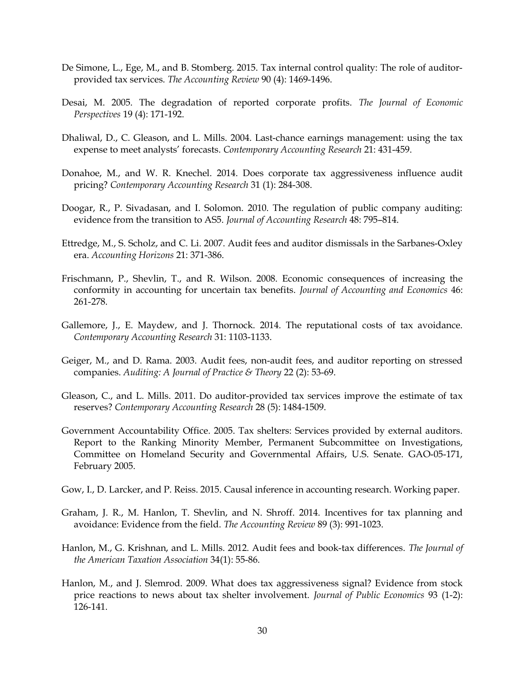- De Simone, L., Ege, M., and B. Stomberg. 2015. Tax internal control quality: The role of auditorprovided tax services. The Accounting Review 90 (4): 1469-1496.
- Desai, M. 2005. The degradation of reported corporate profits. The Journal of Economic Perspectives 19 (4): 171-192.
- Dhaliwal, D., C. Gleason, and L. Mills. 2004. Last-chance earnings management: using the tax expense to meet analysts' forecasts. Contemporary Accounting Research 21: 431-459.
- Donahoe, M., and W. R. Knechel. 2014. Does corporate tax aggressiveness influence audit pricing? Contemporary Accounting Research 31 (1): 284-308.
- Doogar, R., P. Sivadasan, and I. Solomon. 2010. The regulation of public company auditing: evidence from the transition to AS5. Journal of Accounting Research 48: 795-814.
- Ettredge, M., S. Scholz, and C. Li. 2007. Audit fees and auditor dismissals in the Sarbanes-Oxley era. Accounting Horizons 21: 371-386.
- Frischmann, P., Shevlin, T., and R. Wilson. 2008. Economic consequences of increasing the conformity in accounting for uncertain tax benefits. Journal of Accounting and Economics 46: 261-278.
- Gallemore, J., E. Maydew, and J. Thornock. 2014. The reputational costs of tax avoidance. Contemporary Accounting Research 31: 1103-1133.
- Geiger, M., and D. Rama. 2003. Audit fees, non-audit fees, and auditor reporting on stressed companies. Auditing: A Journal of Practice & Theory 22 (2): 53-69.
- Gleason, C., and L. Mills. 2011. Do auditor-provided tax services improve the estimate of tax reserves? Contemporary Accounting Research 28 (5): 1484-1509.
- Government Accountability Office. 2005. Tax shelters: Services provided by external auditors. Report to the Ranking Minority Member, Permanent Subcommittee on Investigations, Committee on Homeland Security and Governmental Affairs, U.S. Senate. GAO-05-171, February 2005.
- Gow, I., D. Larcker, and P. Reiss. 2015. Causal inference in accounting research. Working paper.
- Graham, J. R., M. Hanlon, T. Shevlin, and N. Shroff. 2014. Incentives for tax planning and avoidance: Evidence from the field. The Accounting Review 89 (3): 991-1023.
- Hanlon, M., G. Krishnan, and L. Mills. 2012. Audit fees and book-tax differences. The Journal of the American Taxation Association 34(1): 55-86.
- Hanlon, M., and J. Slemrod. 2009. What does tax aggressiveness signal? Evidence from stock price reactions to news about tax shelter involvement. Journal of Public Economics 93 (1-2): 126-141.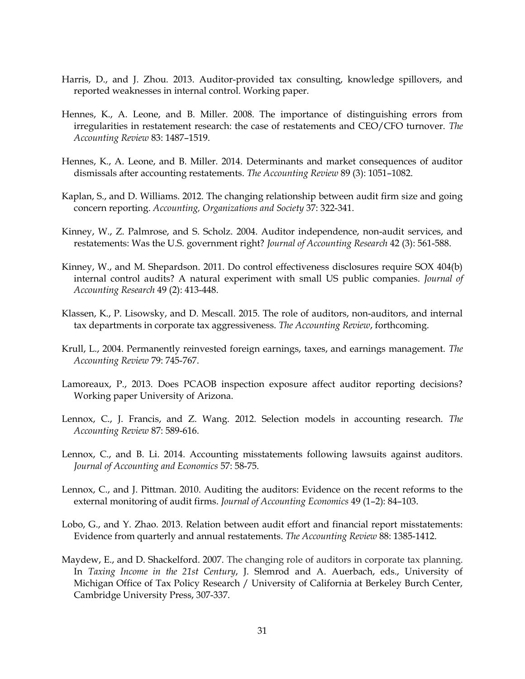- Harris, D., and J. Zhou. 2013. Auditor-provided tax consulting, knowledge spillovers, and reported weaknesses in internal control. Working paper.
- Hennes, K., A. Leone, and B. Miller. 2008. The importance of distinguishing errors from irregularities in restatement research: the case of restatements and CEO/CFO turnover. The Accounting Review 83: 1487–1519.
- Hennes, K., A. Leone, and B. Miller. 2014. Determinants and market consequences of auditor dismissals after accounting restatements. The Accounting Review 89 (3): 1051–1082.
- Kaplan, S., and D. Williams. 2012. The changing relationship between audit firm size and going concern reporting. Accounting, Organizations and Society 37: 322-341.
- Kinney, W., Z. Palmrose, and S. Scholz. 2004. Auditor independence, non-audit services, and restatements: Was the U.S. government right? Journal of Accounting Research 42 (3): 561-588.
- Kinney, W., and M. Shepardson. 2011. Do control effectiveness disclosures require SOX 404(b) internal control audits? A natural experiment with small US public companies. Journal of Accounting Research 49 (2): 413-448.
- Klassen, K., P. Lisowsky, and D. Mescall. 2015. The role of auditors, non-auditors, and internal tax departments in corporate tax aggressiveness. The Accounting Review, forthcoming.
- Krull, L., 2004. Permanently reinvested foreign earnings, taxes, and earnings management. The Accounting Review 79: 745-767.
- Lamoreaux, P., 2013. Does PCAOB inspection exposure affect auditor reporting decisions? Working paper University of Arizona.
- Lennox, C., J. Francis, and Z. Wang. 2012. Selection models in accounting research. The Accounting Review 87: 589-616.
- Lennox, C., and B. Li. 2014. Accounting misstatements following lawsuits against auditors. Journal of Accounting and Economics 57: 58-75.
- Lennox, C., and J. Pittman. 2010. Auditing the auditors: Evidence on the recent reforms to the external monitoring of audit firms. Journal of Accounting Economics 49 (1–2): 84–103.
- Lobo, G., and Y. Zhao. 2013. Relation between audit effort and financial report misstatements: Evidence from quarterly and annual restatements. The Accounting Review 88: 1385-1412.
- Maydew, E., and D. Shackelford. 2007. The changing role of auditors in corporate tax planning. In Taxing Income in the 21st Century, J. Slemrod and A. Auerbach, eds., University of Michigan Office of Tax Policy Research / University of California at Berkeley Burch Center, Cambridge University Press, 307-337.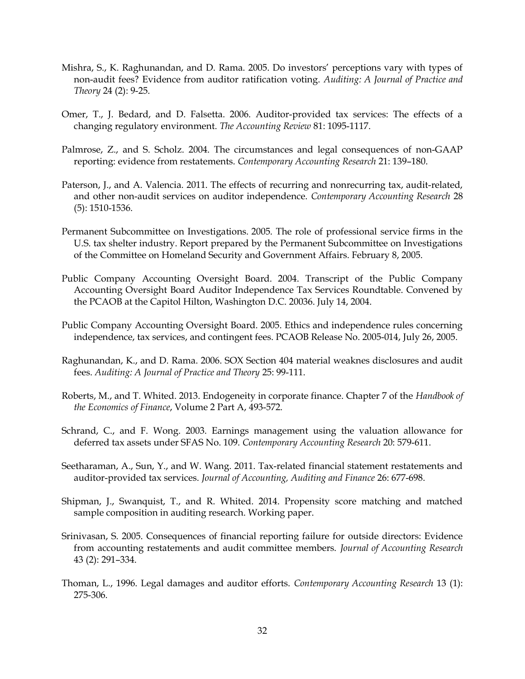- Mishra, S., K. Raghunandan, and D. Rama. 2005. Do investors' perceptions vary with types of non-audit fees? Evidence from auditor ratification voting. Auditing: A Journal of Practice and Theory 24 (2): 9-25.
- Omer, T., J. Bedard, and D. Falsetta. 2006. Auditor-provided tax services: The effects of a changing regulatory environment. The Accounting Review 81: 1095-1117.
- Palmrose, Z., and S. Scholz. 2004. The circumstances and legal consequences of non-GAAP reporting: evidence from restatements. Contemporary Accounting Research 21: 139–180.
- Paterson, J., and A. Valencia. 2011. The effects of recurring and nonrecurring tax, audit-related, and other non-audit services on auditor independence. Contemporary Accounting Research 28 (5): 1510-1536.
- Permanent Subcommittee on Investigations. 2005. The role of professional service firms in the U.S. tax shelter industry. Report prepared by the Permanent Subcommittee on Investigations of the Committee on Homeland Security and Government Affairs. February 8, 2005.
- Public Company Accounting Oversight Board. 2004. Transcript of the Public Company Accounting Oversight Board Auditor Independence Tax Services Roundtable. Convened by the PCAOB at the Capitol Hilton, Washington D.C. 20036. July 14, 2004.
- Public Company Accounting Oversight Board. 2005. Ethics and independence rules concerning independence, tax services, and contingent fees. PCAOB Release No. 2005-014, July 26, 2005.
- Raghunandan, K., and D. Rama. 2006. SOX Section 404 material weaknes disclosures and audit fees. Auditing: A Journal of Practice and Theory 25: 99-111.
- Roberts, M., and T. Whited. 2013. Endogeneity in corporate finance. Chapter 7 of the *Handbook of* the Economics of Finance, Volume 2 Part A, 493-572.
- Schrand, C., and F. Wong. 2003. Earnings management using the valuation allowance for deferred tax assets under SFAS No. 109. Contemporary Accounting Research 20: 579-611.
- Seetharaman, A., Sun, Y., and W. Wang. 2011. Tax-related financial statement restatements and auditor-provided tax services. Journal of Accounting, Auditing and Finance 26: 677-698.
- Shipman, J., Swanquist, T., and R. Whited. 2014. Propensity score matching and matched sample composition in auditing research. Working paper.
- Srinivasan, S. 2005. Consequences of financial reporting failure for outside directors: Evidence from accounting restatements and audit committee members. Journal of Accounting Research 43 (2): 291–334.
- Thoman, L., 1996. Legal damages and auditor efforts. Contemporary Accounting Research 13 (1): 275-306.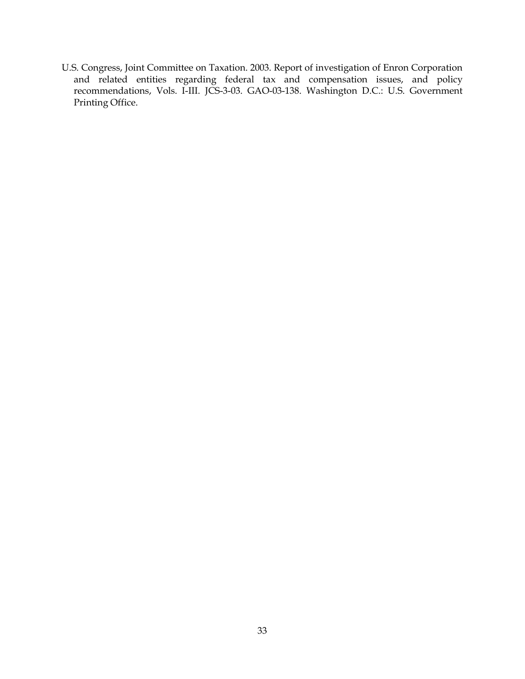U.S. Congress, Joint Committee on Taxation. 2003. Report of investigation of Enron Corporation and related entities regarding federal tax and compensation issues, and policy recommendations, Vols. I-III. JCS-3-03. GAO-03-138. Washington D.C.: U.S. Government Printing Office.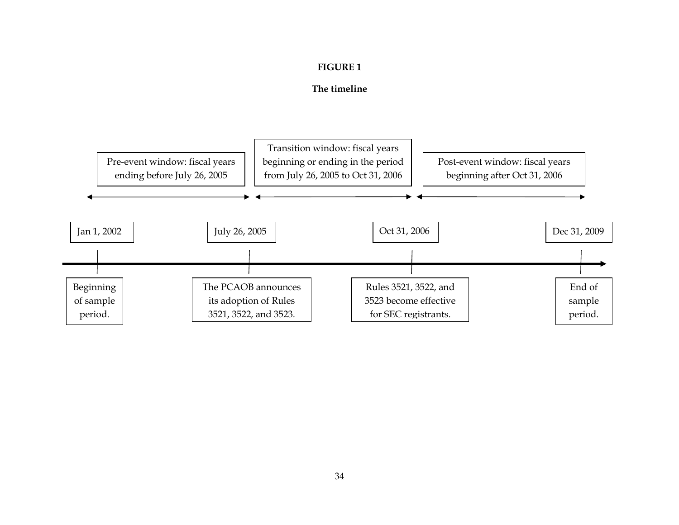## FIGURE 1

## The timeline

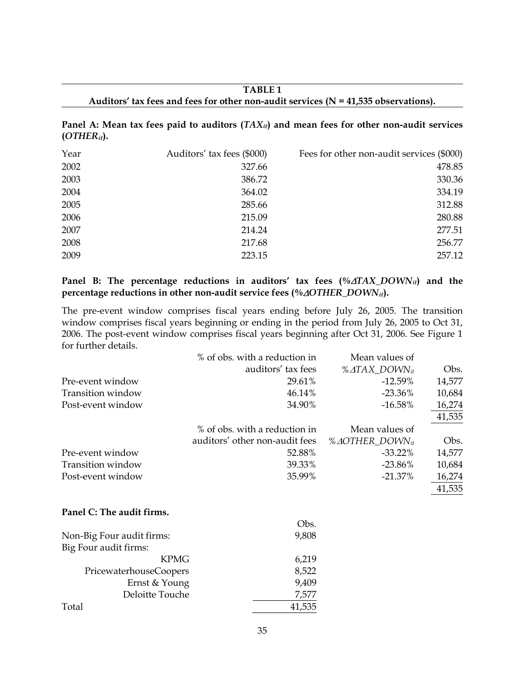## TABLE 1 Auditors' tax fees and fees for other non-audit services ( $N = 41,535$  observations).

## Panel A: Mean tax fees paid to auditors  $(TAX_{it})$  and mean fees for other non-audit services  $(OTHER_{it}).$

| Year | Auditors' tax fees (\$000) | Fees for other non-audit services (\$000) |
|------|----------------------------|-------------------------------------------|
| 2002 | 327.66                     | 478.85                                    |
| 2003 | 386.72                     | 330.36                                    |
| 2004 | 364.02                     | 334.19                                    |
| 2005 | 285.66                     | 312.88                                    |
| 2006 | 215.09                     | 280.88                                    |
| 2007 | 214.24                     | 277.51                                    |
| 2008 | 217.68                     | 256.77                                    |
| 2009 | 223.15                     | 257.12                                    |

## Panel B: The percentage reductions in auditors' tax fees  $(\%ATAX\_DOWN_{it})$  and the percentage reductions in other non-audit service fees  $\frac{\frac{1}{2}N}{\frac{1}{2}N}$  DOWN<sub>it</sub>).

The pre-event window comprises fiscal years ending before July 26, 2005. The transition window comprises fiscal years beginning or ending in the period from July 26, 2005 to Oct 31, 2006. The post-event window comprises fiscal years beginning after Oct 31, 2006. See Figure 1 for further details.

|                           | % of obs. with a reduction in  | Mean values of                         |        |
|---------------------------|--------------------------------|----------------------------------------|--------|
|                           | auditors' tax fees             | % ATAX_DOWNit                          | Obs.   |
| Pre-event window          | 29.61%                         | $-12.59%$                              | 14,577 |
| <b>Transition window</b>  | 46.14%                         | $-23.36\%$                             | 10,684 |
| Post-event window         | 34.90%                         | $-16.58%$                              | 16,274 |
|                           |                                |                                        | 41,535 |
|                           | % of obs. with a reduction in  | Mean values of                         |        |
|                           | auditors' other non-audit fees | $% \triangle$ OTHER_DOWN <sub>it</sub> | Obs.   |
| Pre-event window          | 52.88%                         | $-33.22%$                              | 14,577 |
| <b>Transition window</b>  | 39.33%                         | $-23.86\%$                             | 10,684 |
| Post-event window         | 35.99%                         | $-21.37%$                              | 16,274 |
|                           |                                |                                        | 41,535 |
| Panel C: The audit firms. |                                |                                        |        |
|                           | Obs.                           |                                        |        |
| Non-Big Four audit firms: | 9,808                          |                                        |        |
| Big Four audit firms:     |                                |                                        |        |
| <b>KPMG</b>               | 6,219                          |                                        |        |
| PricewaterhouseCoopers    | 8,522                          |                                        |        |
| Ernst & Young             | 9,409                          |                                        |        |
| Deloitte Touche           | 7,577                          |                                        |        |
| Total                     | 41,535                         |                                        |        |
|                           |                                |                                        |        |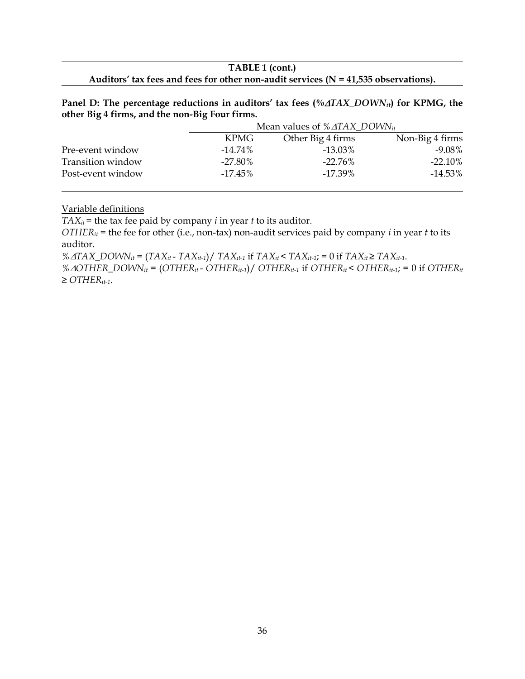| TABLE 1 (cont.)                                                                        |  |
|----------------------------------------------------------------------------------------|--|
| Auditors' tax fees and fees for other non-audit services ( $N = 41,535$ observations). |  |

| Panel D: The percentage reductions in auditors' tax fees $(\% \Delta TAX\_DOWN_{it})$ for KPMG, the |  |
|-----------------------------------------------------------------------------------------------------|--|
| other Big 4 firms, and the non-Big Four firms.                                                      |  |

|                   |            | Mean values of % $\triangle$ TAX DOWN <sub>it</sub> |                 |
|-------------------|------------|-----------------------------------------------------|-----------------|
|                   | KPMG       | Other Big 4 firms                                   | Non-Big 4 firms |
| Pre-event window  | $-14.74\%$ | $-13.03\%$                                          | -9.08%          |
| Transition window | $-27.80\%$ | $-22.76\%$                                          | $-22.10\%$      |
| Post-event window | $-17.45\%$ | $-17.39\%$                                          | $-14.53\%$      |

## Variable definitions

 $TAX_{it}$  = the tax fee paid by company *i* in year *t* to its auditor.

 $\overline{OTHER}_{it}$  = the fee for other (i.e., non-tax) non-audit services paid by company *i* in year *t* to its auditor.

%  $ATAX\_DOWN_{it} = (TAX_{it} - TAX_{it-1}) / TAX_{it-1}$  if  $TAX_{it} < TAX_{it-1}$ ; = 0 if  $TAX_{it} \geq TAX_{it-1}$ . %  $\triangle$ OTHER\_DOWN<sub>it</sub> = (OTHER<sub>it</sub> - OTHER<sub>it-1</sub>)/ OTHER<sub>it-1</sub> if OTHER<sub>it</sub> < OTHER<sub>it-1</sub>; = 0 if OTHER<sub>it</sub>

 $\geq$  OTHER<sub>it-1</sub>.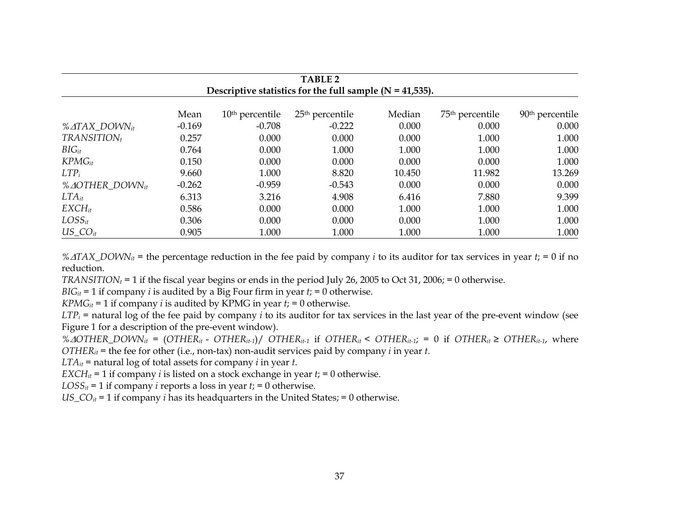| <b>TABLE 2</b><br>Descriptive statistics for the full sample $(N = 41,535)$ . |          |                   |                             |        |                             |                             |
|-------------------------------------------------------------------------------|----------|-------------------|-----------------------------|--------|-----------------------------|-----------------------------|
|                                                                               | Mean     | $10th$ percentile | 25 <sup>th</sup> percentile | Median | 75 <sup>th</sup> percentile | 90 <sup>th</sup> percentile |
| % $ATAX\_DOWN_{it}$                                                           | $-0.169$ | $-0.708$          | $-0.222$                    | 0.000  | 0.000                       | 0.000                       |
| <b>TRANSITION</b> <sup>t</sup>                                                | 0.257    | 0.000             | 0.000                       | 0.000  | 1.000                       | 1.000                       |
| $BIG_{it}$                                                                    | 0.764    | 0.000             | 1.000                       | 1.000  | 1.000                       | 1.000                       |
| $KPMG_{it}$                                                                   | 0.150    | 0.000             | 0.000                       | 0.000  | 0.000                       | 1.000                       |
| $LTP_i$                                                                       | 9.660    | 1.000             | 8.820                       | 10.450 | 11.982                      | 13.269                      |
| % $\Delta$ OTHER DOWN <sub>it</sub>                                           | $-0.262$ | $-0.959$          | $-0.543$                    | 0.000  | 0.000                       | 0.000                       |
| $LTA_{it}$                                                                    | 6.313    | 3.216             | 4.908                       | 6.416  | 7.880                       | 9.399                       |
| $EXCH_{it}$                                                                   | 0.586    | 0.000             | 0.000                       | 1.000  | 1.000                       | 1.000                       |
| $LOSS_{it}$                                                                   | 0.306    | 0.000             | 0.000                       | 0.000  | 1.000                       | 1.000                       |
| $US\_CO_{it}$                                                                 | 0.905    | 1.000             | 1.000                       | 1.000  | 1.000                       | 1.000                       |

% $\Delta$ TAX\_DOWN<sub>it</sub> = the percentage reduction in the fee paid by company *i* to its auditor for tax services in year t; = 0 if no reduction.

TRANSITION<sub>t</sub> = 1 if the fiscal year begins or ends in the period July 26, 2005 to Oct 31, 2006; = 0 otherwise.

 $BIG_{it} = 1$  if company *i* is audited by a Big Four firm in year *t*; = 0 otherwise.

 $KPMG_{it} = 1$  if company *i* is audited by KPMG in year  $t_i = 0$  otherwise.

 $LTP_i$  = natural log of the fee paid by company *i* to its auditor for tax services in the last year of the pre-event window (see Figure 1 for a description of the pre-event window).

% AOTHER\_DOWN<sub>it</sub> = (OTHER<sub>it</sub> - OTHER<sub>it-1</sub>)/ OTHER<sub>it-1</sub> if OTHER<sub>it</sub> < OTHER<sub>it-1</sub>; = 0 if OTHER<sub>it</sub> ≥ OTHER<sub>it-1</sub>, where  $OTHER_{it}$  = the fee for other (i.e., non-tax) non-audit services paid by company *i* in year *t*.

 $LTA_{it}$  = natural log of total assets for company *i* in year *t*.

 $EXCH_{it} = 1$  if company *i* is listed on a stock exchange in year  $t_i = 0$  otherwise.

 $LOSS_{it} = 1$  if company *i* reports a loss in year  $t_i = 0$  otherwise.

 $US\_CO_{it} = 1$  if company *i* has its headquarters in the United States; = 0 otherwise.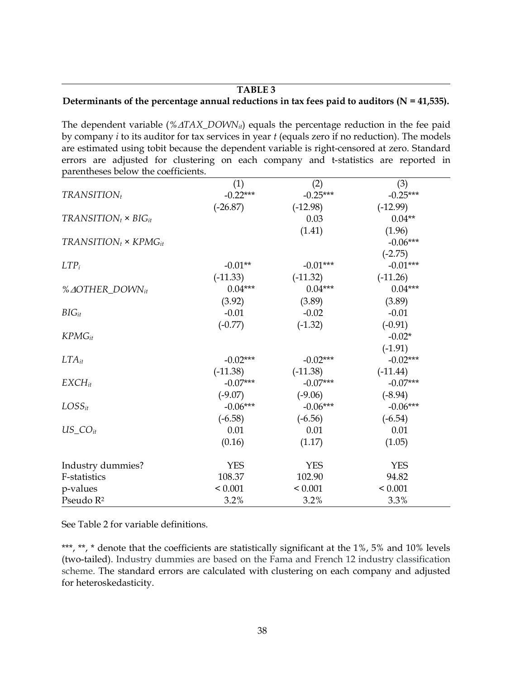#### TABLE 3

## Determinants of the percentage annual reductions in tax fees paid to auditors ( $N = 41,535$ ).

The dependent variable  $(\%ATAX_DOWN_{it})$  equals the percentage reduction in the fee paid by company  $i$  to its auditor for tax services in year  $t$  (equals zero if no reduction). The models are estimated using tobit because the dependent variable is right-censored at zero. Standard errors are adjusted for clustering on each company and t-statistics are reported in parentheses below the coefficients.

|                                 | (1)        | (2)        | (3)        |
|---------------------------------|------------|------------|------------|
| TRANSITION <sub>t</sub>         | $-0.22***$ | $-0.25***$ | $-0.25***$ |
|                                 | $(-26.87)$ | $(-12.98)$ | $(-12.99)$ |
| $TRANSITIONt \times BIGit$      |            | 0.03       | $0.04**$   |
|                                 |            | (1.41)     | (1.96)     |
| $TRANSITION_t \times KPMG_{it}$ |            |            | $-0.06***$ |
|                                 |            |            | $(-2.75)$  |
| $LTP_i$                         | $-0.01**$  | $-0.01***$ | $-0.01***$ |
|                                 | $(-11.33)$ | $(-11.32)$ | $(-11.26)$ |
| % AOTHER_DOWNit                 | $0.04***$  | $0.04***$  | $0.04***$  |
|                                 | (3.92)     | (3.89)     | (3.89)     |
| $BIG_{it}$                      | $-0.01$    | $-0.02$    | $-0.01$    |
|                                 | $(-0.77)$  | $(-1.32)$  | $(-0.91)$  |
| $KPMG_{it}$                     |            |            | $-0.02*$   |
|                                 |            |            | $(-1.91)$  |
| $LTA_{it}$                      | $-0.02***$ | $-0.02***$ | $-0.02***$ |
|                                 | $(-11.38)$ | $(-11.38)$ | $(-11.44)$ |
| $EXCH_{it}$                     | $-0.07***$ | $-0.07***$ | $-0.07***$ |
|                                 | $(-9.07)$  | $(-9.06)$  | $(-8.94)$  |
| $LOSS_{it}$                     | $-0.06***$ | $-0.06***$ | $-0.06***$ |
|                                 | $(-6.58)$  | $(-6.56)$  | $(-6.54)$  |
| $US\_CO_{it}$                   | 0.01       | 0.01       | 0.01       |
|                                 | (0.16)     | (1.17)     | (1.05)     |
| Industry dummies?               | <b>YES</b> | <b>YES</b> | <b>YES</b> |
| F-statistics                    | 108.37     | 102.90     | 94.82      |
| p-values                        | < 0.001    | < 0.001    | < 0.001    |
| Pseudo R <sup>2</sup>           | 3.2%       | 3.2%       | 3.3%       |
|                                 |            |            |            |

See Table 2 for variable definitions.

\*\*\*, \*\*, \* denote that the coefficients are statistically significant at the 1%, 5% and 10% levels (two-tailed). Industry dummies are based on the Fama and French 12 industry classification scheme. The standard errors are calculated with clustering on each company and adjusted for heteroskedasticity.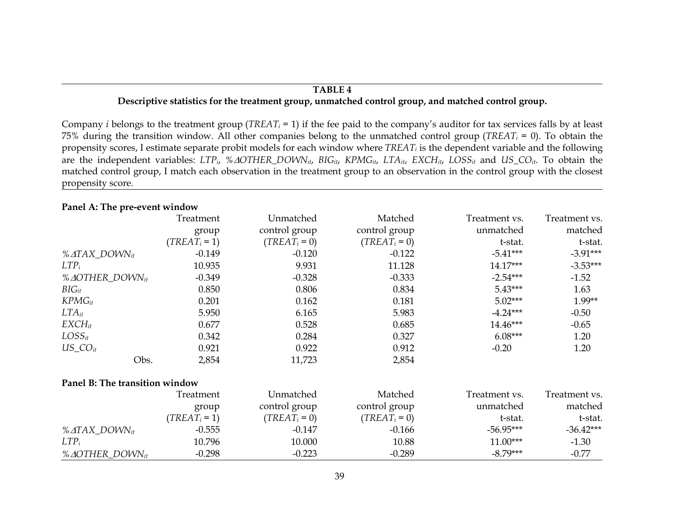## TABLE 4

## Descriptive statistics for the treatment group, unmatched control group, and matched control group.

Company *i* belongs to the treatment group (TREAT<sub>i</sub> = 1) if the fee paid to the company's auditor for tax services falls by at least 75% during the transition window. All other companies belong to the unmatched control group (TREAT<sub>i</sub> = 0). To obtain the propensity scores, I estimate separate probit models for each window where  $TREAT_i$  is the dependent variable and the following are the independent variables:  $LTP_i$ , % $\triangle$ OTHER\_DOWN<sub>it</sub>, BIG<sub>it</sub>, KPMG<sub>it</sub>, LTA<sub>it</sub>, EXCH<sub>it</sub>, LOSS<sub>it</sub> and US\_CO<sub>it</sub>. To obtain the matched control group, I match each observation in the treatment group to an observation in the control group with the closest propensity score.

## Panel A: The pre-event window

| $\mathbf{r}$                        | Treatment       | Unmatched       | Matched         | Treatment vs. | Treatment vs. |
|-------------------------------------|-----------------|-----------------|-----------------|---------------|---------------|
|                                     | group           | control group   | control group   | unmatched     | matched       |
|                                     | $(TREAT_i = 1)$ | $(TREAT_i = 0)$ | $(TREAT_i = 0)$ | t-stat.       | t-stat.       |
| % $ATAX\_DOWN_{it}$                 | $-0.149$        | $-0.120$        | $-0.122$        | $-5.41***$    | $-3.91***$    |
| $LTP_i$                             | 10.935          | 9.931           | 11.128          | 14.17***      | $-3.53***$    |
| % AOTHER_DOWNit                     | $-0.349$        | $-0.328$        | $-0.333$        | $-2.54***$    | $-1.52$       |
| $BIG_{it}$                          | 0.850           | 0.806           | 0.834           | $5.43***$     | 1.63          |
| $KPMG_{it}$                         | 0.201           | 0.162           | 0.181           | $5.02***$     | 1.99**        |
| $LTA_{it}$                          | 5.950           | 6.165           | 5.983           | $-4.24***$    | $-0.50$       |
| $EXCH_{it}$                         | 0.677           | 0.528           | 0.685           | 14.46***      | $-0.65$       |
| $LOSS_{it}$                         | 0.342           | 0.284           | 0.327           | $6.08***$     | 1.20          |
| $US\_CO_{it}$                       | 0.921           | 0.922           | 0.912           | $-0.20$       | 1.20          |
| Obs.                                | 2,854           | 11,723          | 2,854           |               |               |
| Panel B: The transition window      |                 |                 |                 |               |               |
|                                     | Treatment       | Unmatched       | Matched         | Treatment vs. | Treatment vs. |
|                                     | group           | control group   | control group   | unmatched     | matched       |
|                                     | $(TREAT_i = 1)$ | $(TREAT_i = 0)$ | $(TREAT_i = 0)$ | t-stat.       | t-stat.       |
| $\%$ $ATAX\_DOWN_{it}$              | $-0.555$        | $-0.147$        | $-0.166$        | $-56.95***$   | $-36.42***$   |
| $LTP_i$                             | 10.796          | 10.000          | 10.88           | $11.00***$    | $-1.30$       |
| % $\Delta$ OTHER DOWN <sub>it</sub> | $-0.298$        | $-0.223$        | $-0.289$        | $-8.79***$    | $-0.77$       |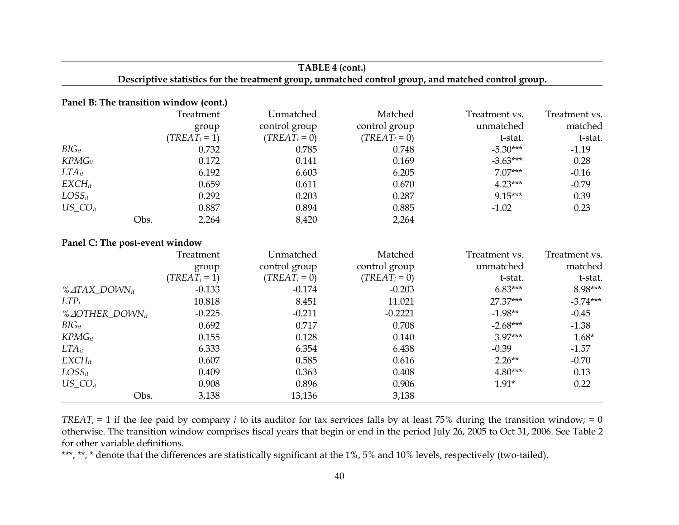|                                |                                        | TABLE 4 (cont.) |                                                                                                     |               |               |  |  |  |
|--------------------------------|----------------------------------------|-----------------|-----------------------------------------------------------------------------------------------------|---------------|---------------|--|--|--|
|                                |                                        |                 | Descriptive statistics for the treatment group, unmatched control group, and matched control group. |               |               |  |  |  |
|                                | Panel B: The transition window (cont.) |                 |                                                                                                     |               |               |  |  |  |
|                                | Treatment                              | Unmatched       | Matched                                                                                             | Treatment vs. | Treatment vs. |  |  |  |
|                                | group                                  | control group   | control group                                                                                       | unmatched     | matched       |  |  |  |
|                                | $(TREAT_i = 1)$                        | $(TREAT_i = 0)$ | $(TREATi=0)$                                                                                        | t-stat.       | t-stat.       |  |  |  |
| $BIG_{it}$                     | 0.732                                  | 0.785           | 0.748                                                                                               | $-5.30***$    | $-1.19$       |  |  |  |
| $KPMG_{it}$                    | 0.172                                  | 0.141           | 0.169                                                                                               | $-3.63***$    | 0.28          |  |  |  |
| $LTA_{it}$                     | 6.192                                  | 6.603           | 6.205                                                                                               | $7.07***$     | $-0.16$       |  |  |  |
| $EXCH_{it}$                    | 0.659                                  | 0.611           | 0.670                                                                                               | $4.23***$     | $-0.79$       |  |  |  |
| $LOSS_{it}$                    | 0.292                                  | 0.203           | 0.287                                                                                               | $9.15***$     | 0.39          |  |  |  |
| $US\_CO_{it}$                  | 0.887                                  | 0.894           | 0.885                                                                                               | $-1.02$       | 0.23          |  |  |  |
| Obs.                           | 2,264                                  | 8,420           | 2,264                                                                                               |               |               |  |  |  |
| Panel C: The post-event window |                                        |                 |                                                                                                     |               |               |  |  |  |
|                                | Treatment                              | Unmatched       | Matched                                                                                             | Treatment vs. | Treatment vs. |  |  |  |
|                                | group                                  | control group   | control group                                                                                       | unmatched     | matched       |  |  |  |
|                                | $(TREAT_i = 1)$                        | $(TREAT_i = 0)$ | $(TREAT_i = 0)$                                                                                     | t-stat.       | t-stat.       |  |  |  |
| $%ATAX_DOWN_{it}$              | $-0.133$                               | $-0.174$        | $-0.203$                                                                                            | $6.83***$     | 8.98***       |  |  |  |
| $LTP_i$                        | 10.818                                 | 8.451           | 11.021                                                                                              | 27.37***      | $-3.74***$    |  |  |  |
| % AOTHER_DOWNit                | $-0.225$                               | $-0.211$        | $-0.2221$                                                                                           | $-1.98**$     | $-0.45$       |  |  |  |
| $BIG_{it}$                     | 0.692                                  | 0.717           | 0.708                                                                                               | $-2.68***$    | $-1.38$       |  |  |  |
| $KPMG_{it}$                    | 0.155                                  | 0.128           | 0.140                                                                                               | 3.97***       | $1.68*$       |  |  |  |
| $LTA_{it}$                     | 6.333                                  | 6.354           | 6.438                                                                                               | $-0.39$       | $-1.57$       |  |  |  |
| $EXCH_{it}$                    | 0.607                                  | 0.585           | 0.616                                                                                               | $2.26**$      | $-0.70$       |  |  |  |
| $LOSS_{it}$                    | 0.409                                  | 0.363           | 0.408                                                                                               | $4.80***$     | 0.13          |  |  |  |
| $US\_CO_{it}$                  | 0.908                                  | 0.896           | 0.906                                                                                               | $1.91*$       | 0.22          |  |  |  |
| Obs.                           | 3,138                                  | 13,136          | 3,138                                                                                               |               |               |  |  |  |

TREAT<sub>i</sub> = 1 if the fee paid by company *i* to its auditor for tax services falls by at least 75% during the transition window; = 0 otherwise. The transition window comprises fiscal years that begin or end in the period July 26, 2005 to Oct 31, 2006. See Table 2 for other variable definitions.

\*\*\*, \*\*, \* denote that the differences are statistically significant at the 1%, 5% and 10% levels, respectively (two-tailed).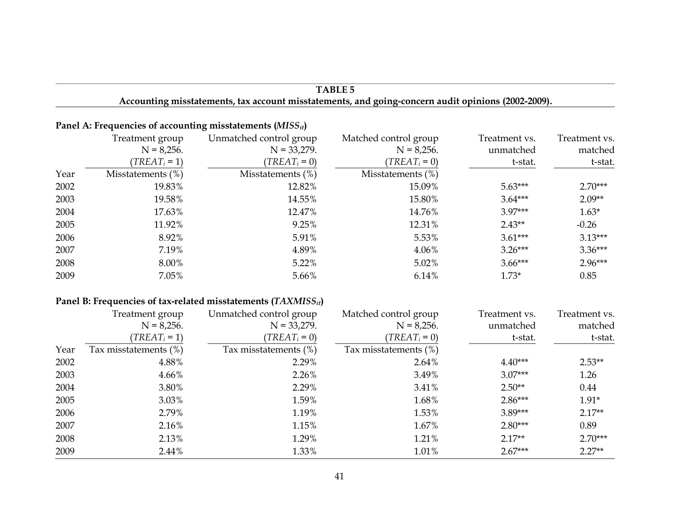|      |                                                     |                                                                                                    | <b>TABLE 5</b>                                            |                                       |                                     |
|------|-----------------------------------------------------|----------------------------------------------------------------------------------------------------|-----------------------------------------------------------|---------------------------------------|-------------------------------------|
|      |                                                     | Accounting misstatements, tax account misstatements, and going-concern audit opinions (2002-2009). |                                                           |                                       |                                     |
|      |                                                     | Panel A: Frequencies of accounting misstatements $(MISS_{it})$                                     |                                                           |                                       |                                     |
|      | Treatment group<br>$N = 8,256$ .<br>$(TREAT_i = 1)$ | Unmatched control group<br>$N = 33,279.$<br>$(TREAT_i = 0)$                                        | Matched control group<br>$N = 8,256$ .<br>$(TREATi=0)$    | Treatment vs.<br>unmatched<br>t-stat. | Treatment vs.<br>matched<br>t-stat. |
| Year | Misstatements (%)                                   | Misstatements (%)                                                                                  | Misstatements (%)                                         |                                       |                                     |
| 2002 | 19.83%                                              | 12.82%                                                                                             | 15.09%                                                    | $5.63***$                             | $2.70***$                           |
| 2003 | 19.58%                                              | 14.55%                                                                                             | 15.80%                                                    | $3.64***$                             | $2.09**$                            |
| 2004 | 17.63%                                              | 12.47%                                                                                             | 14.76%                                                    | 3.97***                               | $1.63*$                             |
| 2005 | 11.92%                                              | 9.25%                                                                                              | 12.31%                                                    | $2.43**$                              | $-0.26$                             |
| 2006 | 8.92%                                               | 5.91%                                                                                              | 5.53%                                                     | $3.61***$                             | $3.13***$                           |
| 2007 | 7.19%                                               | 4.89%                                                                                              | 4.06%                                                     | $3.26***$                             | $3.36***$                           |
| 2008 | 8.00%                                               | 5.22%                                                                                              | 5.02%                                                     | $3.66***$                             | $2.96***$                           |
| 2009 | 7.05%                                               | 5.66%                                                                                              | 6.14%                                                     | $1.73*$                               | 0.85                                |
|      |                                                     | Panel B: Frequencies of tax-related misstatements (TAXMISS <sub>it</sub> )                         |                                                           |                                       |                                     |
|      | Treatment group<br>$N = 8,256$ .<br>$(TREAT_i = 1)$ | Unmatched control group<br>$N = 33,279.$<br>$(TREATi = 0)$                                         | Matched control group<br>$N = 8,256$ .<br>$(TREAT_i = 0)$ | Treatment vs.<br>unmatched<br>t-stat. | Treatment vs.<br>matched<br>t-stat. |
| Year | Tax misstatements (%)                               | Tax misstatements (%)                                                                              | Tax misstatements (%)                                     |                                       |                                     |
| 2002 | 4.88%                                               | 2.29%                                                                                              | 2.64%                                                     | $4.40***$                             | $2.53**$                            |
| 2003 | 4.66%                                               | 2.26%                                                                                              | 3.49%                                                     | $3.07***$                             | 1.26                                |
| 2004 | 3.80%                                               | 2.29%                                                                                              | 3.41%                                                     | $2.50**$                              | 0.44                                |
| 2005 | 3.03%                                               | 1.59%                                                                                              | 1.68%                                                     | $2.86***$                             | $1.91*$                             |
| 2006 | 2.79%                                               | 1.19%                                                                                              | 1.53%                                                     | 3.89***                               | $2.17**$                            |
| 2007 | 2.16%                                               | 1.15%                                                                                              | 1.67%                                                     | $2.80***$                             | 0.89                                |
| 2008 | 2.13%                                               | 1.29%                                                                                              | 1.21%                                                     | $2.17**$                              | $2.70***$                           |
| 2009 | 2.44%                                               | 1.33%                                                                                              | 1.01%                                                     | $2.67***$                             | $2.27**$                            |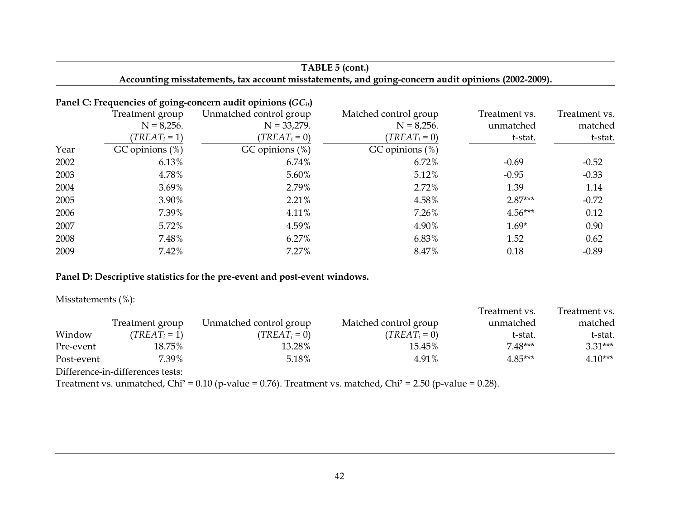|      |                    |                                                                                                    | TABLE 5 (cont.)       |               |               |
|------|--------------------|----------------------------------------------------------------------------------------------------|-----------------------|---------------|---------------|
|      |                    | Accounting misstatements, tax account misstatements, and going-concern audit opinions (2002-2009). |                       |               |               |
|      |                    | Panel C: Frequencies of going-concern audit opinions $(GC_{it})$                                   |                       |               |               |
|      | Treatment group    | Unmatched control group                                                                            | Matched control group | Treatment vs. | Treatment vs. |
|      | $N = 8,256$ .      | $N = 33,279$ .                                                                                     | $N = 8,256$ .         | unmatched     | matched       |
|      | $(TREAT_i = 1)$    | $(TREAT_i = 0)$                                                                                    | $(TREAT_i = 0)$       | t-stat.       | t-stat.       |
| Year | GC opinions $(\%)$ | GC opinions $(\%)$                                                                                 | GC opinions $(\%)$    |               |               |
| 2002 | 6.13%              | 6.74%                                                                                              | 6.72%                 | $-0.69$       | $-0.52$       |
| 2003 | 4.78%              | 5.60%                                                                                              | 5.12%                 | $-0.95$       | $-0.33$       |
| 2004 | 3.69%              | 2.79%                                                                                              | 2.72%                 | 1.39          | 1.14          |
| 2005 | 3.90%              | 2.21%                                                                                              | 4.58%                 | $2.87***$     | $-0.72$       |
| 2006 | 7.39%              | 4.11%                                                                                              | 7.26%                 | $4.56***$     | 0.12          |
| 2007 | 5.72%              | 4.59%                                                                                              | 4.90%                 | $1.69*$       | 0.90          |
| 2008 | 7.48%              | 6.27%                                                                                              | 6.83%                 | 1.52          | 0.62          |
| 2009 | 7.42%              | 7.27%                                                                                              | 8.47%                 | 0.18          | $-0.89$       |

# Panel D: Descriptive statistics for the pre-event and post-event windows.

| Misstatements $(\%)$ : |                                  |                         |                       |               |               |
|------------------------|----------------------------------|-------------------------|-----------------------|---------------|---------------|
|                        |                                  |                         |                       | Treatment vs. | Treatment vs. |
|                        | Treatment group                  | Unmatched control group | Matched control group | unmatched     | matched       |
| Window                 | $(TREAT_i = 1)$                  | $(TREAT_i = 0)$         | $(TREAT_i = 0)$       | t-stat.       | t-stat.       |
| Pre-event              | 18.75%                           | 13.28%                  | 15.45%                | $7.48***$     | $3.31***$     |
| Post-event             | 7.39%                            | 5.18%                   | 4.91%                 | $4.85***$     | $4.10***$     |
|                        | Difference-in-differences tests: |                         |                       |               |               |

Treatment vs. unmatched, Chi<sup>2</sup> =  $0.10$  (p-value =  $0.76$ ). Treatment vs. matched, Chi<sup>2</sup> =  $2.50$  (p-value =  $0.28$ ).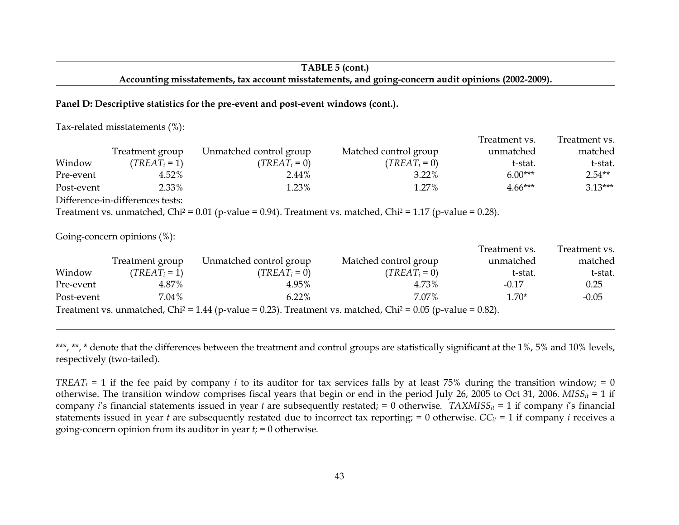## TABLE 5 (cont.) Accounting misstatements, tax account misstatements, and going-concern audit opinions (2002-2009).

#### Panel D: Descriptive statistics for the pre-event and post-event windows (cont.).

#### Tax-related misstatements (%):

|                                                                                                                                     |                                  |                         |                       | Treatment vs. | Treatment vs. |  |  |  |
|-------------------------------------------------------------------------------------------------------------------------------------|----------------------------------|-------------------------|-----------------------|---------------|---------------|--|--|--|
|                                                                                                                                     | Treatment group                  | Unmatched control group | Matched control group | unmatched     | matched       |  |  |  |
| Window                                                                                                                              | $(TREAT_i = 1)$                  | $(TREAT_i = 0)$         | $(TREAT_i = 0)$       | t-stat.       | t-stat.       |  |  |  |
| Pre-event                                                                                                                           | 4.52%                            | 2.44%                   | 3.22%                 | $6.00***$     | $2.54**$      |  |  |  |
| Post-event                                                                                                                          | 2.33%                            | 1.23%                   | 1.27%                 | $4.66***$     | $3.13***$     |  |  |  |
|                                                                                                                                     | Difference-in-differences tests: |                         |                       |               |               |  |  |  |
| Treatment vs. unmatched, Chi <sup>2</sup> = 0.01 (p-value = 0.94). Treatment vs. matched, Chi <sup>2</sup> = 1.17 (p-value = 0.28). |                                  |                         |                       |               |               |  |  |  |
|                                                                                                                                     | Going-concern opinions (%):      |                         |                       |               |               |  |  |  |
|                                                                                                                                     |                                  |                         |                       | Treatment vs. | Treatment vs. |  |  |  |
|                                                                                                                                     | Treatment group                  | Unmatched control group | Matched control group | unmatched     | matched       |  |  |  |
| Window                                                                                                                              | $(TREAT_i = 1)$                  | $(TREAT_i = 0)$         | $(TREAT_i = 0)$       | t-stat.       | t-stat.       |  |  |  |

Post-event 7.04% 7.04% 6.22% 7.07% 7.07% 1.70\* -0.05

Treatment vs. unmatched, Chi<sup>2</sup> = 1.44 (p-value = 0.23). Treatment vs. matched, Chi<sup>2</sup> = 0.05 (p-value = 0.82).

\*\*\*, \*\*, \* denote that the differences between the treatment and control groups are statistically significant at the 1%, 5% and 10% levels, respectively (two-tailed).

Pre-event 4.87% 4.95% 4.95% 4.73% -0.17 0.25

TREAT<sub>i</sub> = 1 if the fee paid by company *i* to its auditor for tax services falls by at least 75% during the transition window; = 0 otherwise. The transition window comprises fiscal years that begin or end in the period July 26, 2005 to Oct 31, 2006. MISS $_{it}$  = 1 if company i's financial statements issued in year t are subsequently restated; = 0 otherwise. TAXMISS<sub>it</sub> = 1 if company i's financial statements issued in year t are subsequently restated due to incorrect tax reporting; = 0 otherwise.  $GC_{it}$  = 1 if company i receives a going-concern opinion from its auditor in year  $t_i = 0$  otherwise.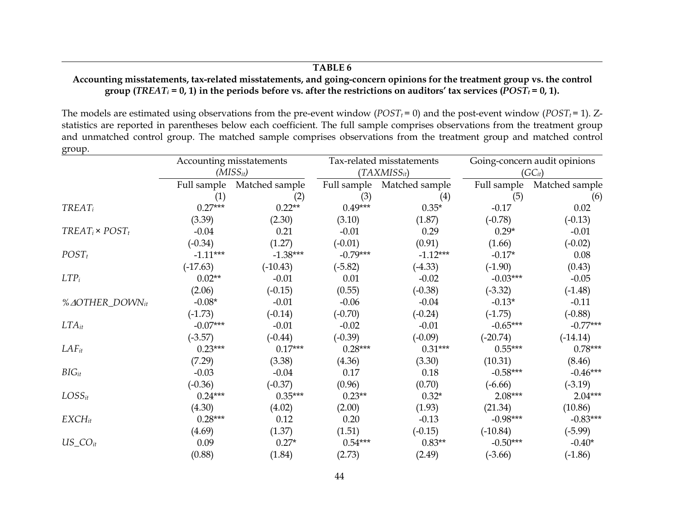## TABLE 6

## Accounting misstatements, tax-related misstatements, and going-concern opinions for the treatment group vs. the control group (TREAT<sub>i</sub> = 0, 1) in the periods before vs. after the restrictions on auditors' tax services (POST<sub>t</sub> = 0, 1).

The models are estimated using observations from the pre-event window ( $POST_t = 0$ ) and the post-event window ( $POST_t = 1$ ). Zstatistics are reported in parentheses below each coefficient. The full sample comprises observations from the treatment group and unmatched control group. The matched sample comprises observations from the treatment group and matched control group.

|                                     | Accounting misstatements<br>(MISS <sub>it</sub> ) |                | Tax-related misstatements<br>(TAXMISS <sub>it</sub> ) |                | Going-concern audit opinions<br>$(GC_{it})$ |                |
|-------------------------------------|---------------------------------------------------|----------------|-------------------------------------------------------|----------------|---------------------------------------------|----------------|
|                                     | Full sample                                       | Matched sample | Full sample                                           | Matched sample | Full sample                                 | Matched sample |
|                                     | (1)                                               | (2)            | (3)                                                   | (4)            | (5)                                         | (6)            |
| $TREAT_i$                           | $0.27***$                                         | $0.22**$       | $0.49***$                                             | $0.35*$        | $-0.17$                                     | 0.02           |
|                                     | (3.39)                                            | (2.30)         | (3.10)                                                | (1.87)         | $(-0.78)$                                   | $(-0.13)$      |
| $TREAT_i \times POST_t$             | $-0.04$                                           | 0.21           | $-0.01$                                               | 0.29           | $0.29*$                                     | $-0.01$        |
|                                     | $(-0.34)$                                         | (1.27)         | $(-0.01)$                                             | (0.91)         | (1.66)                                      | $(-0.02)$      |
| $POST_t$                            | $-1.11***$                                        | $-1.38***$     | $-0.79***$                                            | $-1.12***$     | $-0.17*$                                    | 0.08           |
|                                     | $(-17.63)$                                        | $(-10.43)$     | $(-5.82)$                                             | $(-4.33)$      | $(-1.90)$                                   | (0.43)         |
| $LTP_i$                             | $0.02**$                                          | $-0.01$        | 0.01                                                  | $-0.02$        | $-0.03***$                                  | $-0.05$        |
|                                     | (2.06)                                            | $(-0.15)$      | (0.55)                                                | $(-0.38)$      | $(-3.32)$                                   | $(-1.48)$      |
| % $\Delta$ OTHER_DOWN <sub>it</sub> | $-0.08*$                                          | $-0.01$        | $-0.06$                                               | $-0.04$        | $-0.13*$                                    | $-0.11$        |
|                                     | $(-1.73)$                                         | $(-0.14)$      | $(-0.70)$                                             | $(-0.24)$      | $(-1.75)$                                   | $(-0.88)$      |
| $LTA_{it}$                          | $-0.07***$                                        | $-0.01$        | $-0.02$                                               | $-0.01$        | $-0.65***$                                  | $-0.77***$     |
|                                     | $(-3.57)$                                         | $(-0.44)$      | $(-0.39)$                                             | $(-0.09)$      | $(-20.74)$                                  | $(-14.14)$     |
| $LAF_{it}$                          | $0.23***$                                         | $0.17***$      | $0.28***$                                             | $0.31***$      | $0.55***$                                   | $0.78***$      |
|                                     | (7.29)                                            | (3.38)         | (4.36)                                                | (3.30)         | (10.31)                                     | (8.46)         |
| $BIG_{it}$                          | $-0.03$                                           | $-0.04$        | 0.17                                                  | 0.18           | $-0.58***$                                  | $-0.46***$     |
|                                     | $(-0.36)$                                         | $(-0.37)$      | (0.96)                                                | (0.70)         | $(-6.66)$                                   | $(-3.19)$      |
| $LOSS_{it}$                         | $0.24***$                                         | $0.35***$      | $0.23**$                                              | $0.32*$        | $2.08***$                                   | $2.04***$      |
|                                     | (4.30)                                            | (4.02)         | (2.00)                                                | (1.93)         | (21.34)                                     | (10.86)        |
| $EXCH_{it}$                         | $0.28***$                                         | 0.12           | 0.20                                                  | $-0.13$        | $-0.98***$                                  | $-0.83***$     |
|                                     | (4.69)                                            | (1.37)         | (1.51)                                                | $(-0.15)$      | $(-10.84)$                                  | $(-5.99)$      |
| $US\_CO_{it}$                       | 0.09                                              | $0.27*$        | $0.54***$                                             | $0.83**$       | $-0.50***$                                  | $-0.40*$       |
|                                     | (0.88)                                            | (1.84)         | (2.73)                                                | (2.49)         | $(-3.66)$                                   | $(-1.86)$      |